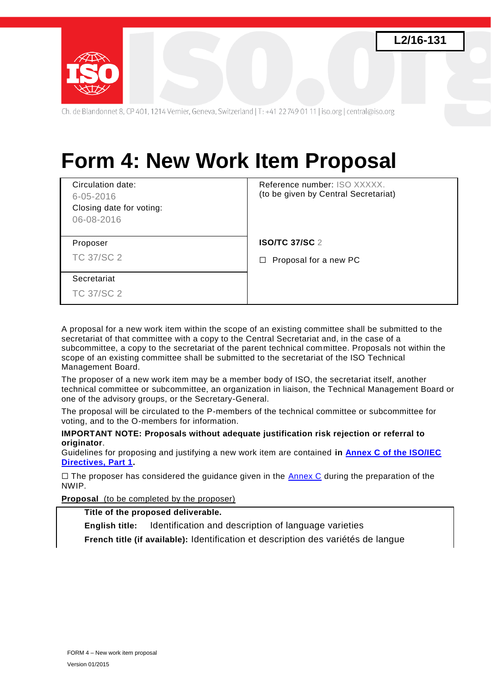



Ch. de Blandonnet 8, CP 401, 1214 Vernier, Geneva, Switzerland | T: +41 22 749 01 11 | iso.org | central@iso.org

# **Form 4: New Work Item Proposal**

| Circulation date:<br>$6 - 05 - 2016$<br>Closing date for voting:<br>06-08-2016 | Reference number: ISO XXXXX.<br>(to be given by Central Secretariat) |
|--------------------------------------------------------------------------------|----------------------------------------------------------------------|
| Proposer                                                                       | <b>ISO/TC 37/SC 2</b>                                                |
| <b>TC 37/SC 2</b>                                                              | Proposal for a new PC<br>$\Box$                                      |
| Secretariat                                                                    |                                                                      |
| <b>TC 37/SC 2</b>                                                              |                                                                      |

A proposal for a new work item within the scope of an existing committee shall be submitted to the secretariat of that committee with a copy to the Central Secretariat and, in the case of a subcommittee, a copy to the secretariat of the parent technical committee. Proposals not within the scope of an existing committee shall be submitted to the secretariat of the ISO Technical Management Board.

The proposer of a new work item may be a member body of ISO, the secretariat itself, another technical committee or subcommittee, an organization in liaison, the Technical Management Board or one of the advisory groups, or the Secretary-General.

The proposal will be circulated to the P-members of the technical committee or subcommittee for voting, and to the O-members for information.

**IMPORTANT NOTE: Proposals without adequate justification risk rejection or referral to originator**.

Guidelines for proposing and justifying a new work item are contained **in [Annex C of the ISO/IEC](http://www.iso.org/sites/directives/directives.html#toc_marker-55)  [Directives, Part 1.](http://www.iso.org/sites/directives/directives.html#toc_marker-55)**

 $\Box$  The proposer has considered the guidance given in the [Annex C](http://www.iso.org/sites/directives/directives.html#toc_marker-55) during the preparation of the NWIP.

**Proposal** (to be completed by the proposer)

**Title of the proposed deliverable.**

**English title:** Identification and description of language varieties **French title (if available):** Identification et description des variétés de langue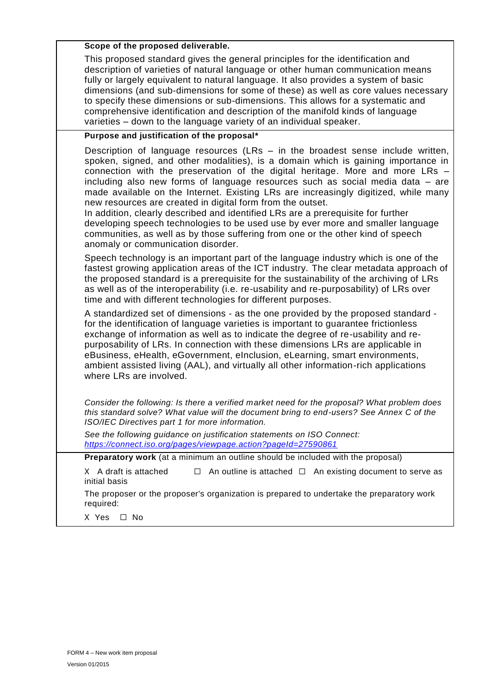### **Scope of the proposed deliverable.**

This proposed standard gives the general principles for the identification and description of varieties of natural language or other human communication means fully or largely equivalent to natural language. It also provides a system of basic dimensions (and sub-dimensions for some of these) as well as core values necessary to specify these dimensions or sub-dimensions. This allows for a systematic and comprehensive identification and description of the manifold kinds of language varieties – down to the language variety of an individual speaker.

### **Purpose and justification of the proposal\***

Description of language resources (LRs – in the broadest sense include written, spoken, signed, and other modalities), is a domain which is gaining importance in connection with the preservation of the digital heritage. More and more LRs – including also new forms of language resources such as social media data – are made available on the Internet. Existing LRs are increasingly digitized, while many new resources are created in digital form from the outset.

In addition, clearly described and identified LRs are a prerequisite for further developing speech technologies to be used use by ever more and smaller language communities, as well as by those suffering from one or the other kind of speech anomaly or communication disorder.

Speech technology is an important part of the language industry which is one of the fastest growing application areas of the ICT industry. The clear metadata approach of the proposed standard is a prerequisite for the sustainability of the archiving of LRs as well as of the interoperability (i.e. re-usability and re-purposability) of LRs over time and with different technologies for different purposes.

A standardized set of dimensions - as the one provided by the proposed standard for the identification of language varieties is important to guarantee frictionless exchange of information as well as to indicate the degree of re-usability and repurposability of LRs. In connection with these dimensions LRs are applicable in eBusiness, eHealth, eGovernment, eInclusion, eLearning, smart environments, ambient assisted living (AAL), and virtually all other information-rich applications where LRs are involved.

*Consider the following: Is there a verified market need for the proposal? What problem does this standard solve? What value will the document bring to end-users? See Annex C of the ISO/IEC Directives part 1 for more information.* 

*See the following guidance on justification statements on ISO Connect: <https://connect.iso.org/pages/viewpage.action?pageId=27590861>*

**Preparatory work** (at a minimum an outline should be included with the proposal)

X A draft is attached □ An outline is attached □ An existing document to serve as initial basis

The proposer or the proposer's organization is prepared to undertake the preparatory work required:

X Yes ☐ No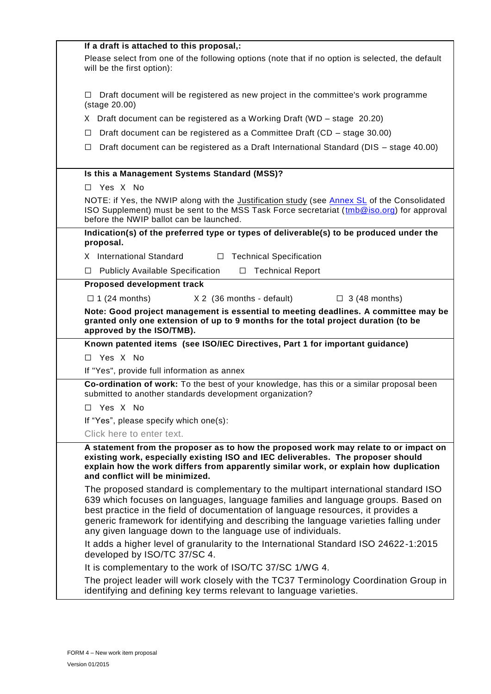| If a draft is attached to this proposal,:                                                                                                                                                                                                                                                                                                                                                                         |  |  |
|-------------------------------------------------------------------------------------------------------------------------------------------------------------------------------------------------------------------------------------------------------------------------------------------------------------------------------------------------------------------------------------------------------------------|--|--|
| Please select from one of the following options (note that if no option is selected, the default<br>will be the first option):                                                                                                                                                                                                                                                                                    |  |  |
| Draft document will be registered as new project in the committee's work programme<br>ப<br>(stage 20.00)                                                                                                                                                                                                                                                                                                          |  |  |
| X Draft document can be registered as a Working Draft (WD – stage 20.20)                                                                                                                                                                                                                                                                                                                                          |  |  |
| Draft document can be registered as a Committee Draft (CD - stage 30.00)<br>□                                                                                                                                                                                                                                                                                                                                     |  |  |
| Draft document can be registered as a Draft International Standard (DIS - stage 40.00)<br>□                                                                                                                                                                                                                                                                                                                       |  |  |
| Is this a Management Systems Standard (MSS)?                                                                                                                                                                                                                                                                                                                                                                      |  |  |
| □ Yes X No                                                                                                                                                                                                                                                                                                                                                                                                        |  |  |
| NOTE: if Yes, the NWIP along with the <i>Justification study</i> (see Annex SL of the Consolidated<br>ISO Supplement) must be sent to the MSS Task Force secretariat ( $\text{trb@iso.org}$ ) for approval<br>before the NWIP ballot can be launched.                                                                                                                                                             |  |  |
| Indication(s) of the preferred type or types of deliverable(s) to be produced under the<br>proposal.                                                                                                                                                                                                                                                                                                              |  |  |
| X International Standard<br><b>Technical Specification</b><br>$\Box$                                                                                                                                                                                                                                                                                                                                              |  |  |
| <b>Publicly Available Specification</b><br><b>Technical Report</b><br>$\Box$<br>$\Box$                                                                                                                                                                                                                                                                                                                            |  |  |
| Proposed development track                                                                                                                                                                                                                                                                                                                                                                                        |  |  |
| $\Box$ 1 (24 months)<br>X 2 (36 months - default)<br>$\Box$ 3 (48 months)                                                                                                                                                                                                                                                                                                                                         |  |  |
| Note: Good project management is essential to meeting deadlines. A committee may be<br>granted only one extension of up to 9 months for the total project duration (to be<br>approved by the ISO/TMB).                                                                                                                                                                                                            |  |  |
| Known patented items (see ISO/IEC Directives, Part 1 for important guidance)                                                                                                                                                                                                                                                                                                                                      |  |  |
| Yes X No<br>П.                                                                                                                                                                                                                                                                                                                                                                                                    |  |  |
| If "Yes", provide full information as annex                                                                                                                                                                                                                                                                                                                                                                       |  |  |
| Co-ordination of work: To the best of your knowledge, has this or a similar proposal been<br>submitted to another standards development organization?                                                                                                                                                                                                                                                             |  |  |
| □ Yes X No                                                                                                                                                                                                                                                                                                                                                                                                        |  |  |
| If "Yes", please specify which one(s):                                                                                                                                                                                                                                                                                                                                                                            |  |  |
| Click here to enter text.                                                                                                                                                                                                                                                                                                                                                                                         |  |  |
| A statement from the proposer as to how the proposed work may relate to or impact on<br>existing work, especially existing ISO and IEC deliverables. The proposer should<br>explain how the work differs from apparently similar work, or explain how duplication<br>and conflict will be minimized.                                                                                                              |  |  |
| The proposed standard is complementary to the multipart international standard ISO<br>639 which focuses on languages, language families and language groups. Based on<br>best practice in the field of documentation of language resources, it provides a<br>generic framework for identifying and describing the language varieties falling under<br>any given language down to the language use of individuals. |  |  |
| It adds a higher level of granularity to the International Standard ISO 24622-1:2015<br>developed by ISO/TC 37/SC 4.                                                                                                                                                                                                                                                                                              |  |  |
| It is complementary to the work of ISO/TC 37/SC 1/WG 4.                                                                                                                                                                                                                                                                                                                                                           |  |  |
| The project leader will work closely with the TC37 Terminology Coordination Group in<br>identifying and defining key terms relevant to language varieties.                                                                                                                                                                                                                                                        |  |  |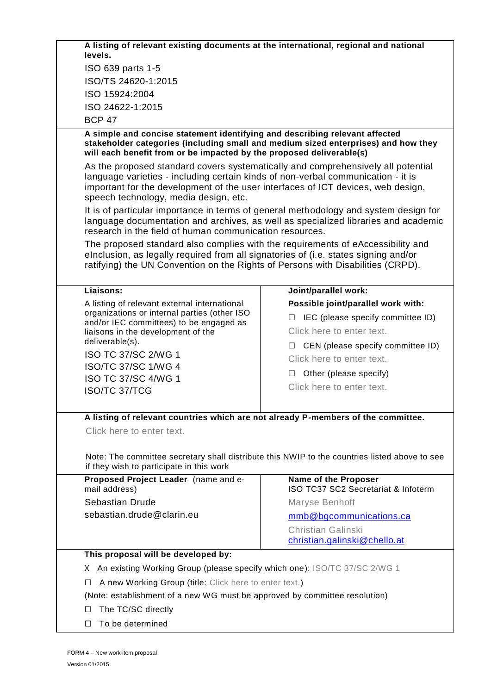| A listing of relevant existing documents at the international, regional and national<br>levels.                                                                                                                                                                                                   |                                        |  |  |
|---------------------------------------------------------------------------------------------------------------------------------------------------------------------------------------------------------------------------------------------------------------------------------------------------|----------------------------------------|--|--|
| ISO 639 parts 1-5                                                                                                                                                                                                                                                                                 |                                        |  |  |
| ISO/TS 24620-1:2015                                                                                                                                                                                                                                                                               |                                        |  |  |
| ISO 15924:2004                                                                                                                                                                                                                                                                                    |                                        |  |  |
| ISO 24622-1:2015                                                                                                                                                                                                                                                                                  |                                        |  |  |
| <b>BCP 47</b>                                                                                                                                                                                                                                                                                     |                                        |  |  |
| A simple and concise statement identifying and describing relevant affected<br>stakeholder categories (including small and medium sized enterprises) and how they<br>will each benefit from or be impacted by the proposed deliverable(s)                                                         |                                        |  |  |
| As the proposed standard covers systematically and comprehensively all potential<br>language varieties - including certain kinds of non-verbal communication - it is<br>important for the development of the user interfaces of ICT devices, web design,<br>speech technology, media design, etc. |                                        |  |  |
| It is of particular importance in terms of general methodology and system design for<br>language documentation and archives, as well as specialized libraries and academic<br>research in the field of human communication resources.                                                             |                                        |  |  |
| The proposed standard also complies with the requirements of eAccessibility and<br>elnclusion, as legally required from all signatories of (i.e. states signing and/or<br>ratifying) the UN Convention on the Rights of Persons with Disabilities (CRPD).                                         |                                        |  |  |
| Liaisons:                                                                                                                                                                                                                                                                                         | Joint/parallel work:                   |  |  |
| A listing of relevant external international                                                                                                                                                                                                                                                      | Possible joint/parallel work with:     |  |  |
| organizations or internal parties (other ISO<br>and/or IEC committees) to be engaged as                                                                                                                                                                                                           | IEC (please specify committee ID)<br>□ |  |  |
| liaisons in the development of the                                                                                                                                                                                                                                                                | Click here to enter text.              |  |  |
| deliverable(s).                                                                                                                                                                                                                                                                                   | CEN (please specify committee ID)<br>ப |  |  |
| ISO TC 37/SC 2/WG 1                                                                                                                                                                                                                                                                               | Click here to enter text.              |  |  |
| <b>ISO/TC 37/SC 1/WG 4</b>                                                                                                                                                                                                                                                                        | Other (please specify)<br>Ш            |  |  |
| ISO TC 37/SC 4/WG 1                                                                                                                                                                                                                                                                               | Click here to enter text.              |  |  |
| <b>ISO/TC 37/TCG</b>                                                                                                                                                                                                                                                                              |                                        |  |  |
| A listing of relevant countries which are not already P-members of the committee.                                                                                                                                                                                                                 |                                        |  |  |
| Click here to enter text.                                                                                                                                                                                                                                                                         |                                        |  |  |
|                                                                                                                                                                                                                                                                                                   |                                        |  |  |
| Note: The committee secretary shall distribute this NWIP to the countries listed above to see<br>if they wish to participate in this work                                                                                                                                                         |                                        |  |  |
| Proposed Project Leader (name and e-                                                                                                                                                                                                                                                              | Name of the Proposer                   |  |  |
| mail address)                                                                                                                                                                                                                                                                                     | ISO TC37 SC2 Secretariat & Infoterm    |  |  |
| <b>Sebastian Drude</b>                                                                                                                                                                                                                                                                            | Maryse Benhoff                         |  |  |
| sebastian.drude@clarin.eu                                                                                                                                                                                                                                                                         | mmb@bgcommunications.ca                |  |  |
|                                                                                                                                                                                                                                                                                                   | <b>Christian Galinski</b>              |  |  |
|                                                                                                                                                                                                                                                                                                   | christian.galinski@chello.at           |  |  |
|                                                                                                                                                                                                                                                                                                   | This proposal will be developed by:    |  |  |
| X An existing Working Group (please specify which one): ISO/TC 37/SC 2/WG 1                                                                                                                                                                                                                       |                                        |  |  |
| A new Working Group (title: Click here to enter text.)<br>⊔                                                                                                                                                                                                                                       |                                        |  |  |
| (Note: establishment of a new WG must be approved by committee resolution)                                                                                                                                                                                                                        |                                        |  |  |
| The TC/SC directly<br>□                                                                                                                                                                                                                                                                           |                                        |  |  |
| To be determined<br>□                                                                                                                                                                                                                                                                             |                                        |  |  |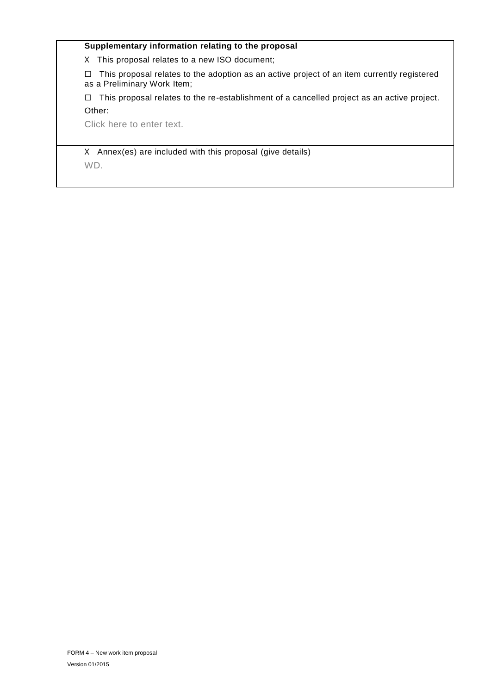### **Supplementary information relating to the proposal**

X This proposal relates to a new ISO document;

☐ This proposal relates to the adoption as an active project of an item currently registered as a Preliminary Work Item;

☐ This proposal relates to the re-establishment of a cancelled project as an active project. Other:

Click here to enter text.

X Annex(es) are included with this proposal (give details) WD.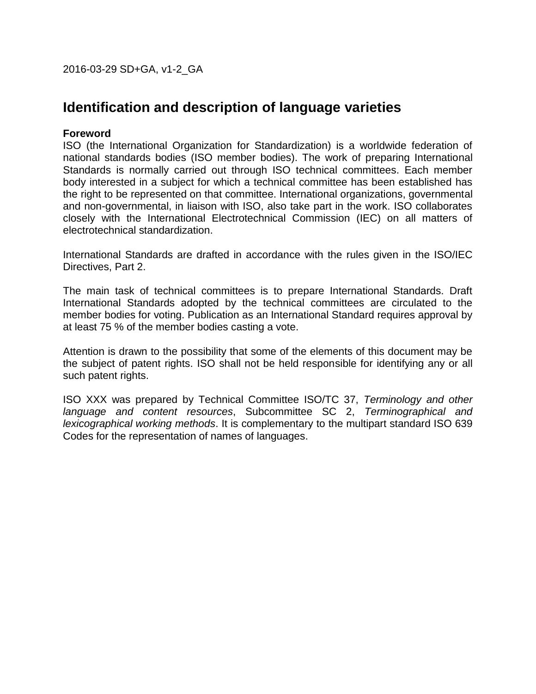2016-03-29 SD+GA, v1-2\_GA

# **Identification and description of language varieties**

### **Foreword**

ISO (the International Organization for Standardization) is a worldwide federation of national standards bodies (ISO member bodies). The work of preparing International Standards is normally carried out through ISO technical committees. Each member body interested in a subject for which a technical committee has been established has the right to be represented on that committee. International organizations, governmental and non-governmental, in liaison with ISO, also take part in the work. ISO collaborates closely with the International Electrotechnical Commission (IEC) on all matters of electrotechnical standardization.

International Standards are drafted in accordance with the rules given in the ISO/IEC Directives, Part 2.

The main task of technical committees is to prepare International Standards. Draft International Standards adopted by the technical committees are circulated to the member bodies for voting. Publication as an International Standard requires approval by at least 75 % of the member bodies casting a vote.

Attention is drawn to the possibility that some of the elements of this document may be the subject of patent rights. ISO shall not be held responsible for identifying any or all such patent rights.

ISO XXX was prepared by Technical Committee ISO/TC 37, *Terminology and other language and content resources*, Subcommittee SC 2, *Terminographical and lexicographical working methods*. It is complementary to the multipart standard ISO 639 Codes for the representation of names of languages.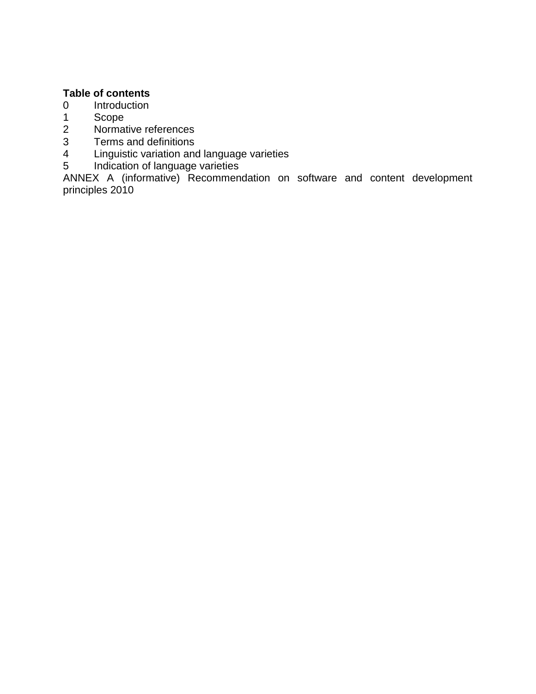# **Table of contents**

- 0 Introduction
- 1 Scope<br>2 Normat
- Normative references
- 3 Terms and definitions
- 4 Linguistic variation and language varieties
- 5 Indication of language varieties

ANNEX A (informative) Recommendation on software and content development principles 2010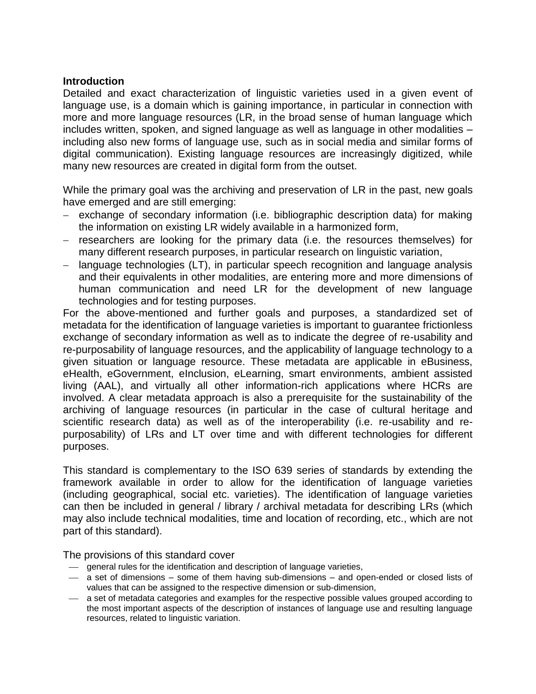### **Introduction**

Detailed and exact characterization of linguistic varieties used in a given event of language use, is a domain which is gaining importance, in particular in connection with more and more language resources (LR, in the broad sense of human language which includes written, spoken, and signed language as well as language in other modalities – including also new forms of language use, such as in social media and similar forms of digital communication). Existing language resources are increasingly digitized, while many new resources are created in digital form from the outset.

While the primary goal was the archiving and preservation of LR in the past, new goals have emerged and are still emerging:

- exchange of secondary information (i.e. bibliographic description data) for making the information on existing LR widely available in a harmonized form,
- researchers are looking for the primary data (i.e. the resources themselves) for many different research purposes, in particular research on linguistic variation,
- language technologies (LT), in particular speech recognition and language analysis and their equivalents in other modalities, are entering more and more dimensions of human communication and need LR for the development of new language technologies and for testing purposes.

For the above-mentioned and further goals and purposes, a standardized set of metadata for the identification of language varieties is important to guarantee frictionless exchange of secondary information as well as to indicate the degree of re-usability and re-purposability of language resources, and the applicability of language technology to a given situation or language resource. These metadata are applicable in eBusiness, eHealth, eGovernment, eInclusion, eLearning, smart environments, ambient assisted living (AAL), and virtually all other information-rich applications where HCRs are involved. A clear metadata approach is also a prerequisite for the sustainability of the archiving of language resources (in particular in the case of cultural heritage and scientific research data) as well as of the interoperability (i.e. re-usability and repurposability) of LRs and LT over time and with different technologies for different purposes.

This standard is complementary to the ISO 639 series of standards by extending the framework available in order to allow for the identification of language varieties (including geographical, social etc. varieties). The identification of language varieties can then be included in general / library / archival metadata for describing LRs (which may also include technical modalities, time and location of recording, etc., which are not part of this standard).

The provisions of this standard cover

- general rules for the identification and description of language varieties,
- $-$  a set of dimensions some of them having sub-dimensions and open-ended or closed lists of values that can be assigned to the respective dimension or sub-dimension,
- a set of metadata categories and examples for the respective possible values grouped according to the most important aspects of the description of instances of language use and resulting language resources, related to linguistic variation.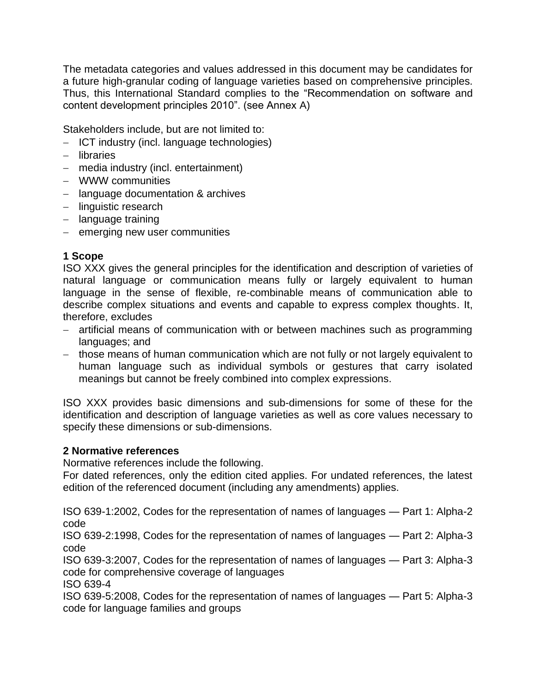The metadata categories and values addressed in this document may be candidates for a future high-granular coding of language varieties based on comprehensive principles. Thus, this International Standard complies to the "Recommendation on software and content development principles 2010". (see Annex A)

Stakeholders include, but are not limited to:

- $-$  ICT industry (incl. language technologies)
- libraries
- media industry (incl. entertainment)
- WWW communities
- language documentation & archives
- linguistic research
- language training
- $-$  emerging new user communities

# **1 Scope**

ISO XXX gives the general principles for the identification and description of varieties of natural language or communication means fully or largely equivalent to human language in the sense of flexible, re-combinable means of communication able to describe complex situations and events and capable to express complex thoughts. It, therefore, excludes

- artificial means of communication with or between machines such as programming languages; and
- those means of human communication which are not fully or not largely equivalent to human language such as individual symbols or gestures that carry isolated meanings but cannot be freely combined into complex expressions.

ISO XXX provides basic dimensions and sub-dimensions for some of these for the identification and description of language varieties as well as core values necessary to specify these dimensions or sub-dimensions.

# **2 Normative references**

Normative references include the following.

For dated references, only the edition cited applies. For undated references, the latest edition of the referenced document (including any amendments) applies.

ISO 639-1:2002, Codes for the representation of names of languages — Part 1: Alpha-2 code

ISO 639-2:1998, Codes for the representation of names of languages — Part 2: Alpha-3 code

ISO 639-3:2007, Codes for the representation of names of languages — Part 3: Alpha-3 code for comprehensive coverage of languages

ISO 639-4

ISO 639-5:2008, Codes for the representation of names of languages — Part 5: Alpha-3 code for language families and groups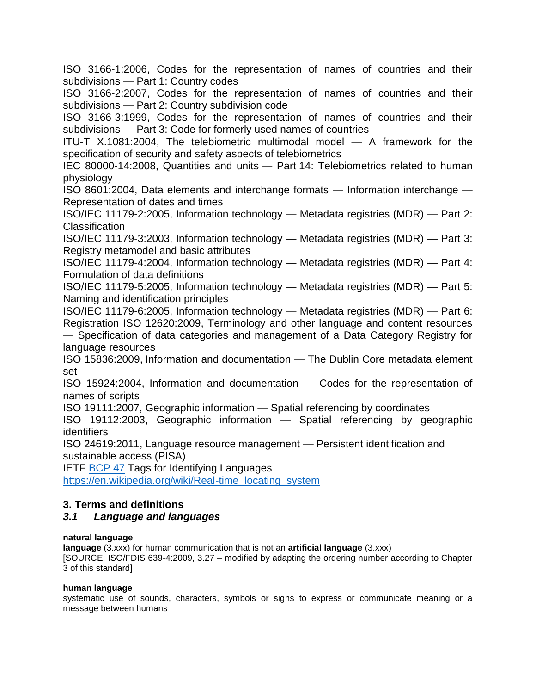ISO 3166-1:2006, Codes for the representation of names of countries and their subdivisions — Part 1: Country codes

ISO 3166-2:2007, Codes for the representation of names of countries and their subdivisions — Part 2: Country subdivision code

ISO 3166-3:1999, Codes for the representation of names of countries and their subdivisions — Part 3: Code for formerly used names of countries

ITU-T X.1081:2004, The telebiometric multimodal model — A framework for the specification of security and safety aspects of telebiometrics

IEC 80000-14:2008, Quantities and units — Part 14: Telebiometrics related to human physiology

ISO 8601:2004, Data elements and interchange formats — Information interchange — Representation of dates and times

ISO/IEC 11179-2:2005, Information technology — Metadata registries (MDR) — Part 2: **Classification** 

ISO/IEC 11179-3:2003, Information technology — Metadata registries (MDR) — Part 3: Registry metamodel and basic attributes

ISO/IEC 11179-4:2004, Information technology — Metadata registries (MDR) — Part 4: Formulation of data definitions

ISO/IEC 11179-5:2005, Information technology — Metadata registries (MDR) — Part 5: Naming and identification principles

ISO/IEC 11179-6:2005, Information technology — Metadata registries (MDR) — Part 6: Registration ISO 12620:2009, Terminology and other language and content resources — Specification of data categories and management of a Data Category Registry for language resources

ISO 15836:2009, Information and documentation — The Dublin Core metadata element set

ISO 15924:2004, Information and documentation — Codes for the representation of names of scripts

ISO 19111:2007, Geographic information — Spatial referencing by coordinates

ISO 19112:2003, Geographic information — Spatial referencing by geographic identifiers

ISO 24619:2011, Language resource management — Persistent identification and sustainable access (PISA)

IETF [BCP 47](http://www.rfc-editor.org/rfc/bcp/bcp47.txt) Tags for Identifying Languages

[https://en.wikipedia.org/wiki/Real-time\\_locating\\_system](https://en.wikipedia.org/wiki/Real-time_locating_system)

### **3. Terms and definitions**

### *3.1 Language and languages*

### **natural language**

**language** (3.xxx) for human communication that is not an **artificial language** (3.xxx)

[SOURCE: ISO/FDIS 639-4:2009, 3.27 – modified by adapting the ordering number according to Chapter 3 of this standard]

### **human language**

systematic use of sounds, characters, symbols or signs to express or communicate meaning or a message between humans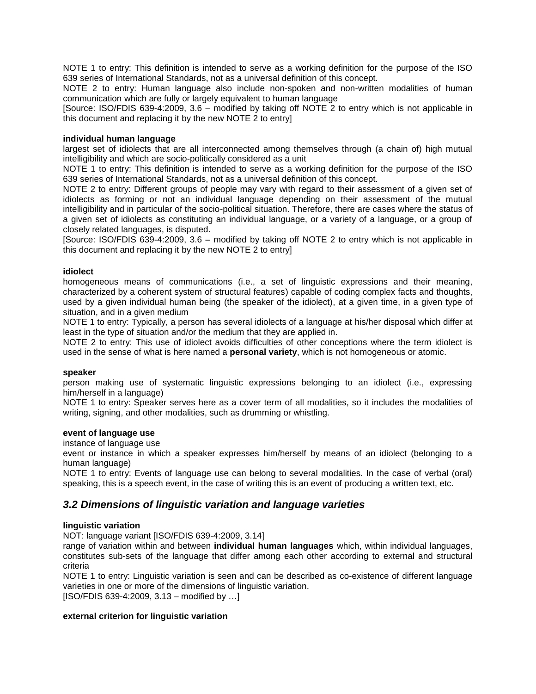NOTE 1 to entry: This definition is intended to serve as a working definition for the purpose of the ISO 639 series of International Standards, not as a universal definition of this concept.

NOTE 2 to entry: Human language also include non-spoken and non-written modalities of human communication which are fully or largely equivalent to human language

[Source: ISO/FDIS 639-4:2009, 3.6 – modified by taking off NOTE 2 to entry which is not applicable in this document and replacing it by the new NOTE 2 to entry]

#### **individual human language**

largest set of idiolects that are all interconnected among themselves through (a chain of) high mutual intelligibility and which are socio-politically considered as a unit

NOTE 1 to entry: This definition is intended to serve as a working definition for the purpose of the ISO 639 series of International Standards, not as a universal definition of this concept.

NOTE 2 to entry: Different groups of people may vary with regard to their assessment of a given set of idiolects as forming or not an individual language depending on their assessment of the mutual intelligibility and in particular of the socio-political situation. Therefore, there are cases where the status of a given set of idiolects as constituting an individual language, or a variety of a language, or a group of closely related languages, is disputed.

[Source: ISO/FDIS 639-4:2009, 3.6 – modified by taking off NOTE 2 to entry which is not applicable in this document and replacing it by the new NOTE 2 to entry]

#### **idiolect**

homogeneous means of communications (i.e., a set of linguistic expressions and their meaning, characterized by a coherent system of structural features) capable of coding complex facts and thoughts, used by a given individual human being (the speaker of the idiolect), at a given time, in a given type of situation, and in a given medium

NOTE 1 to entry: Typically, a person has several idiolects of a language at his/her disposal which differ at least in the type of situation and/or the medium that they are applied in.

NOTE 2 to entry: This use of idiolect avoids difficulties of other conceptions where the term idiolect is used in the sense of what is here named a **personal variety**, which is not homogeneous or atomic.

#### **speaker**

person making use of systematic linguistic expressions belonging to an idiolect (i.e., expressing him/herself in a language)

NOTE 1 to entry: Speaker serves here as a cover term of all modalities, so it includes the modalities of writing, signing, and other modalities, such as drumming or whistling.

#### **event of language use**

instance of language use

event or instance in which a speaker expresses him/herself by means of an idiolect (belonging to a human language)

NOTE 1 to entry: Events of language use can belong to several modalities. In the case of verbal (oral) speaking, this is a speech event, in the case of writing this is an event of producing a written text, etc.

#### *3.2 Dimensions of linguistic variation and language varieties*

#### **linguistic variation**

NOT: language variant [ISO/FDIS 639-4:2009, 3.14]

range of variation within and between **individual human languages** which, within individual languages, constitutes sub-sets of the language that differ among each other according to external and structural criteria

NOTE 1 to entry: Linguistic variation is seen and can be described as co-existence of different language varieties in one or more of the dimensions of linguistic variation.  $[ISO/FDIS 639-4:2009, 3.13 - modified by ...]$ 

#### **external criterion for linguistic variation**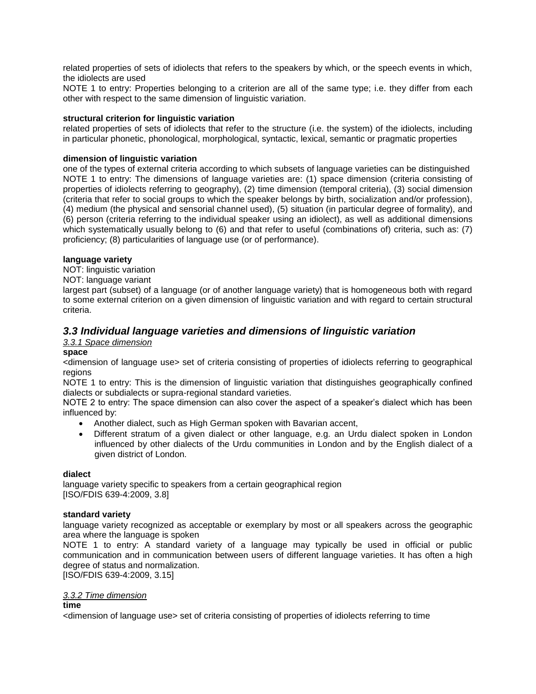related properties of sets of idiolects that refers to the speakers by which, or the speech events in which, the idiolects are used

NOTE 1 to entry: Properties belonging to a criterion are all of the same type; i.e. they differ from each other with respect to the same dimension of linguistic variation.

#### **structural criterion for linguistic variation**

related properties of sets of idiolects that refer to the structure (i.e. the system) of the idiolects, including in particular phonetic, phonological, morphological, syntactic, lexical, semantic or pragmatic properties

#### **dimension of linguistic variation**

one of the types of external criteria according to which subsets of language varieties can be distinguished NOTE 1 to entry: The dimensions of language varieties are: (1) space dimension (criteria consisting of properties of idiolects referring to geography), (2) time dimension (temporal criteria), (3) social dimension (criteria that refer to social groups to which the speaker belongs by birth, socialization and/or profession), (4) medium (the physical and sensorial channel used), (5) situation (in particular degree of formality), and (6) person (criteria referring to the individual speaker using an idiolect), as well as additional dimensions which systematically usually belong to (6) and that refer to useful (combinations of) criteria, such as: (7) proficiency; (8) particularities of language use (or of performance).

#### **language variety**

NOT: linguistic variation

#### NOT: language variant

largest part (subset) of a language (or of another language variety) that is homogeneous both with regard to some external criterion on a given dimension of linguistic variation and with regard to certain structural criteria.

### *3.3 Individual language varieties and dimensions of linguistic variation*

#### *3.3.1 Space dimension*

#### **space**

<dimension of language use> set of criteria consisting of properties of idiolects referring to geographical regions

NOTE 1 to entry: This is the dimension of linguistic variation that distinguishes geographically confined dialects or subdialects or supra-regional standard varieties.

NOTE 2 to entry: The space dimension can also cover the aspect of a speaker's dialect which has been influenced by:

- Another dialect, such as High German spoken with Bavarian accent,
- Different stratum of a given dialect or other language, e.g. an Urdu dialect spoken in London influenced by other dialects of the Urdu communities in London and by the English dialect of a given district of London.

#### **dialect**

language variety specific to speakers from a certain geographical region [ISO/FDIS 639-4:2009, 3.8]

#### **standard variety**

language variety recognized as acceptable or exemplary by most or all speakers across the geographic area where the language is spoken

NOTE 1 to entry: A standard variety of a language may typically be used in official or public communication and in communication between users of different language varieties. It has often a high degree of status and normalization.

[ISO/FDIS 639-4:2009, 3.15]

#### *3.3.2 Time dimension*

#### **time**

<dimension of language use> set of criteria consisting of properties of idiolects referring to time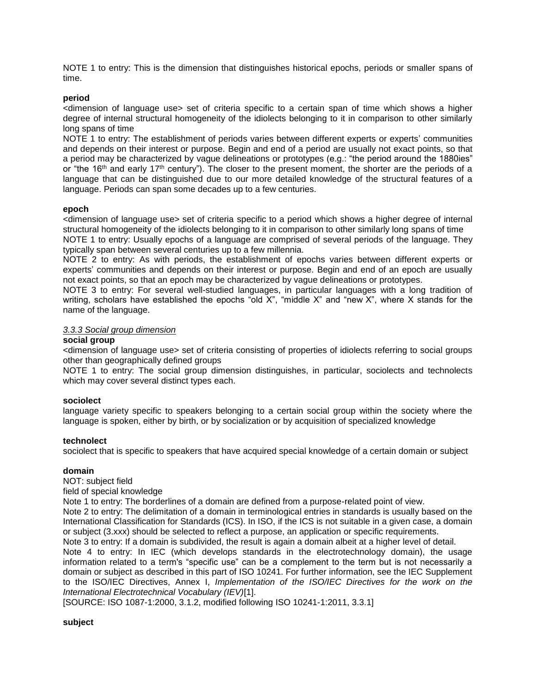NOTE 1 to entry: This is the dimension that distinguishes historical epochs, periods or smaller spans of time.

#### **period**

<dimension of language use> set of criteria specific to a certain span of time which shows a higher degree of internal structural homogeneity of the idiolects belonging to it in comparison to other similarly long spans of time

NOTE 1 to entry: The establishment of periods varies between different experts or experts' communities and depends on their interest or purpose. Begin and end of a period are usually not exact points, so that a period may be characterized by vague delineations or prototypes (e.g.: "the period around the 1880ies" or "the 16<sup>th</sup> and early 17<sup>th</sup> century"). The closer to the present moment, the shorter are the periods of a language that can be distinguished due to our more detailed knowledge of the structural features of a language. Periods can span some decades up to a few centuries.

#### **epoch**

<dimension of language use> set of criteria specific to a period which shows a higher degree of internal structural homogeneity of the idiolects belonging to it in comparison to other similarly long spans of time NOTE 1 to entry: Usually epochs of a language are comprised of several periods of the language. They

typically span between several centuries up to a few millennia.

NOTE 2 to entry: As with periods, the establishment of epochs varies between different experts or experts' communities and depends on their interest or purpose. Begin and end of an epoch are usually not exact points, so that an epoch may be characterized by vague delineations or prototypes.

NOTE 3 to entry: For several well-studied languages, in particular languages with a long tradition of writing, scholars have established the epochs "old X", "middle X" and "new X", where X stands for the name of the language.

#### *3.3.3 Social group dimension*

#### **social group**

<dimension of language use> set of criteria consisting of properties of idiolects referring to social groups other than geographically defined groups

NOTE 1 to entry: The social group dimension distinguishes, in particular, sociolects and technolects which may cover several distinct types each.

#### **sociolect**

language variety specific to speakers belonging to a certain social group within the society where the language is spoken, either by birth, or by socialization or by acquisition of specialized knowledge

#### **technolect**

sociolect that is specific to speakers that have acquired special knowledge of a certain domain or subject

#### **domain**

NOT: subject field

#### field of special knowledge

Note 1 to entry: The borderlines of a domain are defined from a purpose-related point of view.

Note 2 to entry: The delimitation of a domain in terminological entries in standards is usually based on the International Classification for Standards (ICS). In ISO, if the ICS is not suitable in a given case, a domain or subject (3.xxx) should be selected to reflect a purpose, an application or specific requirements.

Note 3 to entry: If a domain is subdivided, the result is again a domain albeit at a higher level of detail.

Note 4 to entry: In IEC (which develops standards in the electrotechnology domain), the usage information related to a term's "specific use" can be a complement to the term but is not necessarily a domain or subject as described in this part of ISO 10241. For further information, see the IEC Supplement to the ISO/IEC Directives, Annex I, *Implementation of the ISO/IEC Directives for the work on the International Electrotechnical Vocabulary (IEV)*[1].

[SOURCE: ISO 1087-1:2000, 3.1.2, modified following ISO 10241-1:2011, 3.3.1]

#### **subject**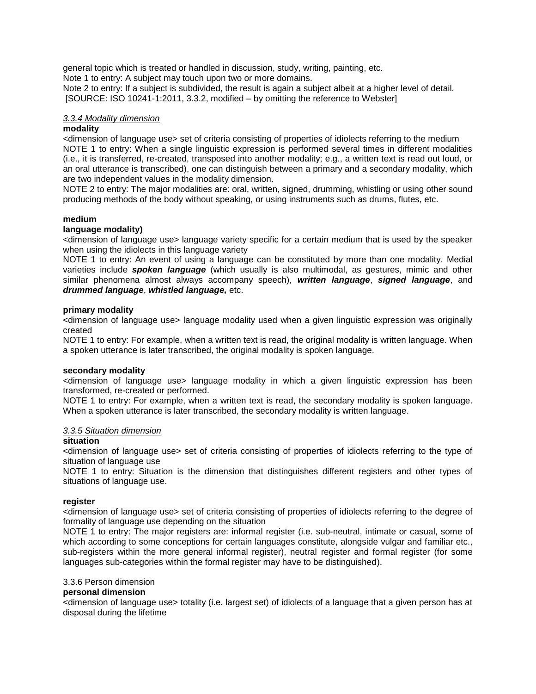general topic which is treated or handled in discussion, study, writing, painting, etc.

Note 1 to entry: A subject may touch upon two or more domains.

Note 2 to entry: If a subject is subdivided, the result is again a subject albeit at a higher level of detail. [SOURCE: ISO 10241-1:2011, 3.3.2, modified – by omitting the reference to Webster]

#### *3.3.4 Modality dimension*

#### **modality**

<dimension of language use> set of criteria consisting of properties of idiolects referring to the medium NOTE 1 to entry: When a single linguistic expression is performed several times in different modalities (i.e., it is transferred, re-created, transposed into another modality; e.g., a written text is read out loud, or an oral utterance is transcribed), one can distinguish between a primary and a secondary modality, which are two independent values in the modality dimension.

NOTE 2 to entry: The major modalities are: oral, written, signed, drumming, whistling or using other sound producing methods of the body without speaking, or using instruments such as drums, flutes, etc.

#### **medium**

#### **language modality)**

<dimension of language use> language variety specific for a certain medium that is used by the speaker when using the idiolects in this language variety

NOTE 1 to entry: An event of using a language can be constituted by more than one modality. Medial varieties include *spoken language* (which usually is also multimodal, as gestures, mimic and other similar phenomena almost always accompany speech), *written language*, *signed language*, and *drummed language*, *whistled language,* etc.

#### **primary modality**

<dimension of language use> language modality used when a given linguistic expression was originally created

NOTE 1 to entry: For example, when a written text is read, the original modality is written language. When a spoken utterance is later transcribed, the original modality is spoken language.

#### **secondary modality**

<dimension of language use> language modality in which a given linguistic expression has been transformed, re-created or performed.

NOTE 1 to entry: For example, when a written text is read, the secondary modality is spoken language. When a spoken utterance is later transcribed, the secondary modality is written language.

### *3.3.5 Situation dimension*

#### **situation**

<dimension of language use> set of criteria consisting of properties of idiolects referring to the type of situation of language use

NOTE 1 to entry: Situation is the dimension that distinguishes different registers and other types of situations of language use.

#### **register**

<dimension of language use> set of criteria consisting of properties of idiolects referring to the degree of formality of language use depending on the situation

NOTE 1 to entry: The major registers are: informal register (i.e. sub-neutral, intimate or casual, some of which according to some conceptions for certain languages constitute, alongside vulgar and familiar etc., sub-registers within the more general informal register), neutral register and formal register (for some languages sub-categories within the formal register may have to be distinguished).

#### 3.3.6 Person dimension

#### **personal dimension**

<dimension of language use> totality (i.e. largest set) of idiolects of a language that a given person has at disposal during the lifetime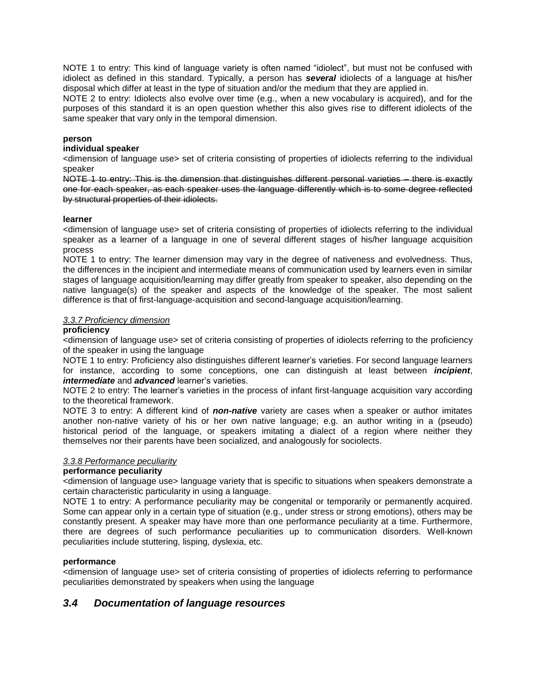NOTE 1 to entry: This kind of language variety is often named "idiolect", but must not be confused with idiolect as defined in this standard. Typically, a person has *several* idiolects of a language at his/her disposal which differ at least in the type of situation and/or the medium that they are applied in.

NOTE 2 to entry: Idiolects also evolve over time (e.g., when a new vocabulary is acquired), and for the purposes of this standard it is an open question whether this also gives rise to different idiolects of the same speaker that vary only in the temporal dimension.

#### **person**

#### **individual speaker**

<dimension of language use> set of criteria consisting of properties of idiolects referring to the individual speaker

NOTE 1 to entry: This is the dimension that distinguishes different personal varieties – there is exactly one for each speaker, as each speaker uses the language differently which is to some degree reflected by structural properties of their idiolects.

#### **learner**

<dimension of language use> set of criteria consisting of properties of idiolects referring to the individual speaker as a learner of a language in one of several different stages of his/her language acquisition process

NOTE 1 to entry: The learner dimension may vary in the degree of nativeness and evolvedness. Thus, the differences in the incipient and intermediate means of communication used by learners even in similar stages of language acquisition/learning may differ greatly from speaker to speaker, also depending on the native language(s) of the speaker and aspects of the knowledge of the speaker. The most salient difference is that of first-language-acquisition and second-language acquisition/learning.

#### *3.3.7 Proficiency dimension*

#### **proficiency**

<dimension of language use> set of criteria consisting of properties of idiolects referring to the proficiency of the speaker in using the language

NOTE 1 to entry: Proficiency also distinguishes different learner's varieties. For second language learners for instance, according to some conceptions, one can distinguish at least between *incipient*, *intermediate* and *advanced* learner's varieties.

NOTE 2 to entry: The learner's varieties in the process of infant first-language acquisition vary according to the theoretical framework.

NOTE 3 to entry: A different kind of *non-native* variety are cases when a speaker or author imitates another non-native variety of his or her own native language; e.g. an author writing in a (pseudo) historical period of the language, or speakers imitating a dialect of a region where neither they themselves nor their parents have been socialized, and analogously for sociolects.

#### *3.3.8 Performance peculiarity*

#### **performance peculiarity**

<dimension of language use> language variety that is specific to situations when speakers demonstrate a certain characteristic particularity in using a language.

NOTE 1 to entry: A performance peculiarity may be congenital or temporarily or permanently acquired. Some can appear only in a certain type of situation (e.g., under stress or strong emotions), others may be constantly present. A speaker may have more than one performance peculiarity at a time. Furthermore, there are degrees of such performance peculiarities up to communication disorders. Well-known peculiarities include stuttering, lisping, dyslexia, etc.

#### **performance**

<dimension of language use> set of criteria consisting of properties of idiolects referring to performance peculiarities demonstrated by speakers when using the language

#### *3.4 Documentation of language resources*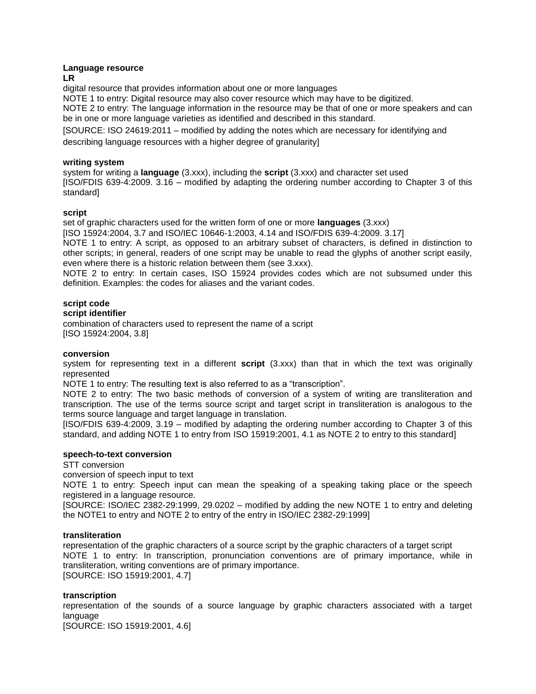#### **Language resource**

**LR**

digital resource that provides information about one or more languages

NOTE 1 to entry: Digital resource may also cover resource which may have to be digitized.

NOTE 2 to entry: The language information in the resource may be that of one or more speakers and can be in one or more language varieties as identified and described in this standard.

[SOURCE: ISO 24619:2011 – modified by adding the notes which are necessary for identifying and

describing language resources with a higher degree of granularity]

#### **writing system**

system for writing a **language** (3.xxx), including the **script** (3.xxx) and character set used [ISO/FDIS 639-4:2009. 3.16 – modified by adapting the ordering number according to Chapter 3 of this standard]

#### **script**

set of graphic characters used for the written form of one or more **languages** (3.xxx)

[ISO 15924:2004, 3.7 and ISO/IEC 10646-1:2003, 4.14 and ISO/FDIS 639-4:2009. 3.17]

NOTE 1 to entry: A script, as opposed to an arbitrary subset of characters, is defined in distinction to other scripts; in general, readers of one script may be unable to read the glyphs of another script easily, even where there is a historic relation between them (see 3.xxx).

NOTE 2 to entry: In certain cases, ISO 15924 provides codes which are not subsumed under this definition. Examples: the codes for aliases and the variant codes.

#### **script code**

#### **script identifier**

combination of characters used to represent the name of a script [ISO 15924:2004, 3.8]

#### **conversion**

system for representing text in a different **script** (3.xxx) than that in which the text was originally represented

NOTE 1 to entry: The resulting text is also referred to as a "transcription".

NOTE 2 to entry: The two basic methods of conversion of a system of writing are transliteration and transcription. The use of the terms source script and target script in transliteration is analogous to the terms source language and target language in translation.

[ISO/FDIS 639-4:2009, 3.19 – modified by adapting the ordering number according to Chapter 3 of this standard, and adding NOTE 1 to entry from ISO 15919:2001, 4.1 as NOTE 2 to entry to this standard]

#### **speech-to-text conversion**

STT conversion

conversion of speech input to text

NOTE 1 to entry: Speech input can mean the speaking of a speaking taking place or the speech registered in a language resource.

[SOURCE: ISO/IEC 2382-29:1999, 29.0202 – modified by adding the new NOTE 1 to entry and deleting the NOTE1 to entry and NOTE 2 to entry of the entry in ISO/IEC 2382-29:1999]

#### **transliteration**

representation of the graphic characters of a source script by the graphic characters of a target script NOTE 1 to entry: In transcription, pronunciation conventions are of primary importance, while in transliteration, writing conventions are of primary importance. [SOURCE: ISO 15919:2001, 4.7]

#### **transcription**

representation of the sounds of a source language by graphic characters associated with a target language

[SOURCE: ISO 15919:2001, 4.6]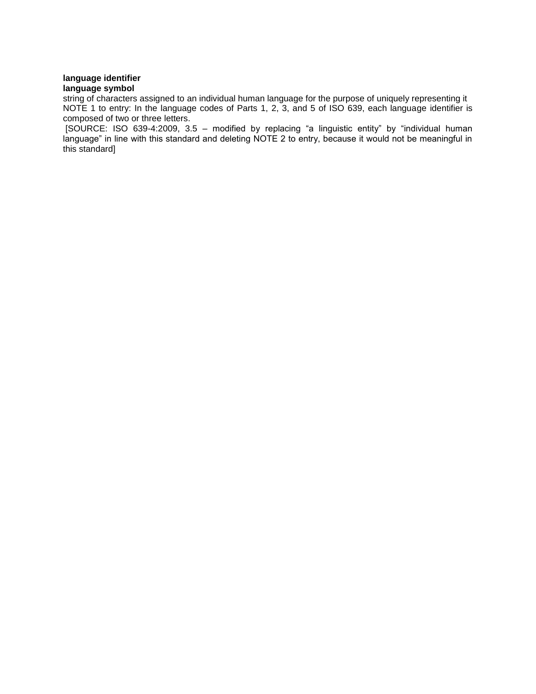#### **language identifier language symbol**

string of characters assigned to an individual human language for the purpose of uniquely representing it NOTE 1 to entry: In the language codes of Parts 1, 2, 3, and 5 of ISO 639, each language identifier is composed of two or three letters.

[SOURCE: ISO 639-4:2009, 3.5 – modified by replacing "a linguistic entity" by "individual human language" in line with this standard and deleting NOTE 2 to entry, because it would not be meaningful in this standard]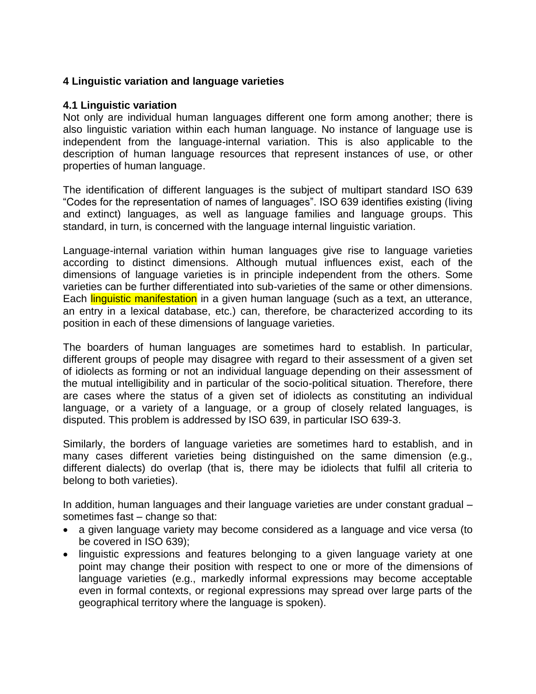### **4 Linguistic variation and language varieties**

### **4.1 Linguistic variation**

Not only are individual human languages different one form among another; there is also linguistic variation within each human language. No instance of language use is independent from the language-internal variation. This is also applicable to the description of human language resources that represent instances of use, or other properties of human language.

The identification of different languages is the subject of multipart standard ISO 639 "Codes for the representation of names of languages". ISO 639 identifies existing (living and extinct) languages, as well as language families and language groups. This standard, in turn, is concerned with the language internal linguistic variation.

Language-internal variation within human languages give rise to language varieties according to distinct dimensions. Although mutual influences exist, each of the dimensions of language varieties is in principle independent from the others. Some varieties can be further differentiated into sub-varieties of the same or other dimensions. Each linguistic manifestation in a given human language (such as a text, an utterance, an entry in a lexical database, etc.) can, therefore, be characterized according to its position in each of these dimensions of language varieties.

The boarders of human languages are sometimes hard to establish. In particular, different groups of people may disagree with regard to their assessment of a given set of idiolects as forming or not an individual language depending on their assessment of the mutual intelligibility and in particular of the socio-political situation. Therefore, there are cases where the status of a given set of idiolects as constituting an individual language, or a variety of a language, or a group of closely related languages, is disputed. This problem is addressed by ISO 639, in particular ISO 639-3.

Similarly, the borders of language varieties are sometimes hard to establish, and in many cases different varieties being distinguished on the same dimension (e.g., different dialects) do overlap (that is, there may be idiolects that fulfil all criteria to belong to both varieties).

In addition, human languages and their language varieties are under constant gradual – sometimes fast – change so that:

- a given language variety may become considered as a language and vice versa (to be covered in ISO 639);
- linguistic expressions and features belonging to a given language variety at one point may change their position with respect to one or more of the dimensions of language varieties (e.g., markedly informal expressions may become acceptable even in formal contexts, or regional expressions may spread over large parts of the geographical territory where the language is spoken).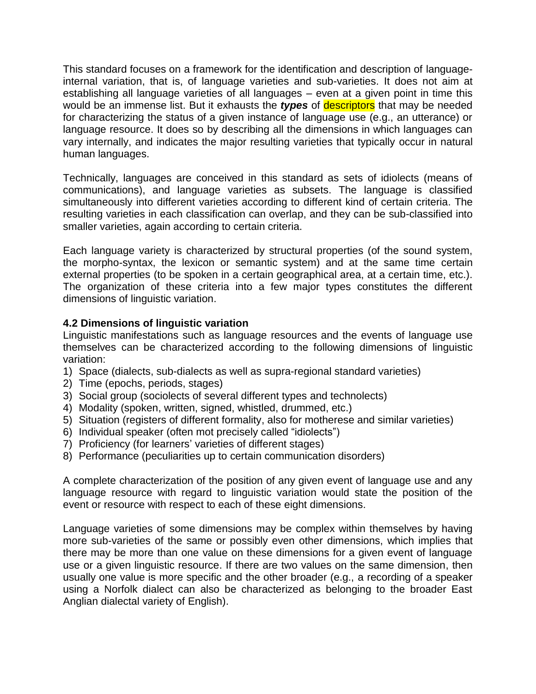This standard focuses on a framework for the identification and description of languageinternal variation, that is, of language varieties and sub-varieties. It does not aim at establishing all language varieties of all languages – even at a given point in time this would be an immense list. But it exhausts the *types* of descriptors that may be needed for characterizing the status of a given instance of language use (e.g., an utterance) or language resource. It does so by describing all the dimensions in which languages can vary internally, and indicates the major resulting varieties that typically occur in natural human languages.

Technically, languages are conceived in this standard as sets of idiolects (means of communications), and language varieties as subsets. The language is classified simultaneously into different varieties according to different kind of certain criteria. The resulting varieties in each classification can overlap, and they can be sub-classified into smaller varieties, again according to certain criteria.

Each language variety is characterized by structural properties (of the sound system, the morpho-syntax, the lexicon or semantic system) and at the same time certain external properties (to be spoken in a certain geographical area, at a certain time, etc.). The organization of these criteria into a few major types constitutes the different dimensions of linguistic variation.

# **4.2 Dimensions of linguistic variation**

Linguistic manifestations such as language resources and the events of language use themselves can be characterized according to the following dimensions of linguistic variation:

- 1) Space (dialects, sub-dialects as well as supra-regional standard varieties)
- 2) Time (epochs, periods, stages)
- 3) Social group (sociolects of several different types and technolects)
- 4) Modality (spoken, written, signed, whistled, drummed, etc.)
- 5) Situation (registers of different formality, also for motherese and similar varieties)
- 6) Individual speaker (often mot precisely called "idiolects")
- 7) Proficiency (for learners' varieties of different stages)
- 8) Performance (peculiarities up to certain communication disorders)

A complete characterization of the position of any given event of language use and any language resource with regard to linguistic variation would state the position of the event or resource with respect to each of these eight dimensions.

Language varieties of some dimensions may be complex within themselves by having more sub-varieties of the same or possibly even other dimensions, which implies that there may be more than one value on these dimensions for a given event of language use or a given linguistic resource. If there are two values on the same dimension, then usually one value is more specific and the other broader (e.g., a recording of a speaker using a Norfolk dialect can also be characterized as belonging to the broader East Anglian dialectal variety of English).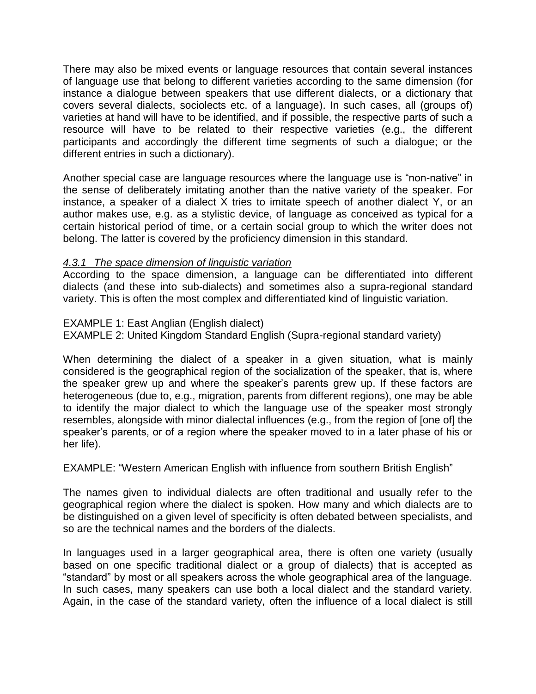There may also be mixed events or language resources that contain several instances of language use that belong to different varieties according to the same dimension (for instance a dialogue between speakers that use different dialects, or a dictionary that covers several dialects, sociolects etc. of a language). In such cases, all (groups of) varieties at hand will have to be identified, and if possible, the respective parts of such a resource will have to be related to their respective varieties (e.g., the different participants and accordingly the different time segments of such a dialogue; or the different entries in such a dictionary).

Another special case are language resources where the language use is "non-native" in the sense of deliberately imitating another than the native variety of the speaker. For instance, a speaker of a dialect X tries to imitate speech of another dialect Y, or an author makes use, e.g. as a stylistic device, of language as conceived as typical for a certain historical period of time, or a certain social group to which the writer does not belong. The latter is covered by the proficiency dimension in this standard.

### *4.3.1 The space dimension of linguistic variation*

According to the space dimension, a language can be differentiated into different dialects (and these into sub-dialects) and sometimes also a supra-regional standard variety. This is often the most complex and differentiated kind of linguistic variation.

### EXAMPLE 1: East Anglian (English dialect)

EXAMPLE 2: United Kingdom Standard English (Supra-regional standard variety)

When determining the dialect of a speaker in a given situation, what is mainly considered is the geographical region of the socialization of the speaker, that is, where the speaker grew up and where the speaker's parents grew up. If these factors are heterogeneous (due to, e.g., migration, parents from different regions), one may be able to identify the major dialect to which the language use of the speaker most strongly resembles, alongside with minor dialectal influences (e.g., from the region of [one of] the speaker's parents, or of a region where the speaker moved to in a later phase of his or her life).

EXAMPLE: "Western American English with influence from southern British English"

The names given to individual dialects are often traditional and usually refer to the geographical region where the dialect is spoken. How many and which dialects are to be distinguished on a given level of specificity is often debated between specialists, and so are the technical names and the borders of the dialects.

In languages used in a larger geographical area, there is often one variety (usually based on one specific traditional dialect or a group of dialects) that is accepted as "standard" by most or all speakers across the whole geographical area of the language. In such cases, many speakers can use both a local dialect and the standard variety. Again, in the case of the standard variety, often the influence of a local dialect is still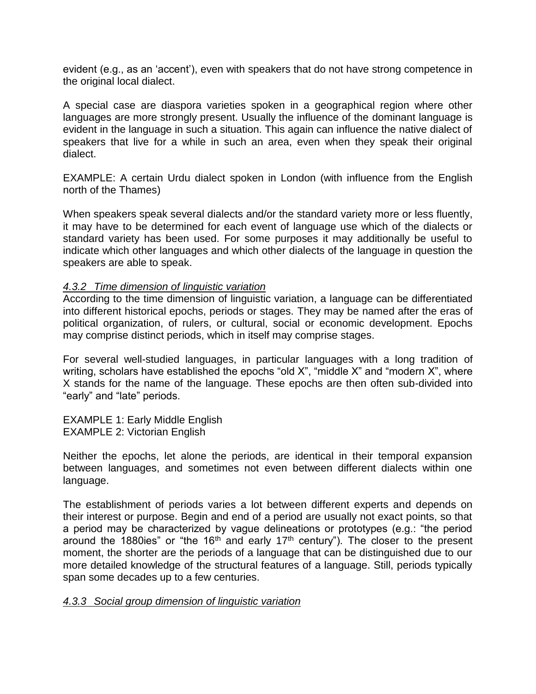evident (e.g., as an 'accent'), even with speakers that do not have strong competence in the original local dialect.

A special case are diaspora varieties spoken in a geographical region where other languages are more strongly present. Usually the influence of the dominant language is evident in the language in such a situation. This again can influence the native dialect of speakers that live for a while in such an area, even when they speak their original dialect.

EXAMPLE: A certain Urdu dialect spoken in London (with influence from the English north of the Thames)

When speakers speak several dialects and/or the standard variety more or less fluently, it may have to be determined for each event of language use which of the dialects or standard variety has been used. For some purposes it may additionally be useful to indicate which other languages and which other dialects of the language in question the speakers are able to speak.

### *4.3.2 Time dimension of linguistic variation*

According to the time dimension of linguistic variation, a language can be differentiated into different historical epochs, periods or stages. They may be named after the eras of political organization, of rulers, or cultural, social or economic development. Epochs may comprise distinct periods, which in itself may comprise stages.

For several well-studied languages, in particular languages with a long tradition of writing, scholars have established the epochs "old X", "middle X" and "modern X", where X stands for the name of the language. These epochs are then often sub-divided into "early" and "late" periods.

EXAMPLE 1: Early Middle English EXAMPLE 2: Victorian English

Neither the epochs, let alone the periods, are identical in their temporal expansion between languages, and sometimes not even between different dialects within one language.

The establishment of periods varies a lot between different experts and depends on their interest or purpose. Begin and end of a period are usually not exact points, so that a period may be characterized by vague delineations or prototypes (e.g.: "the period around the 1880ies" or "the 16<sup>th</sup> and early 17<sup>th</sup> century"). The closer to the present moment, the shorter are the periods of a language that can be distinguished due to our more detailed knowledge of the structural features of a language. Still, periods typically span some decades up to a few centuries.

### *4.3.3 Social group dimension of linguistic variation*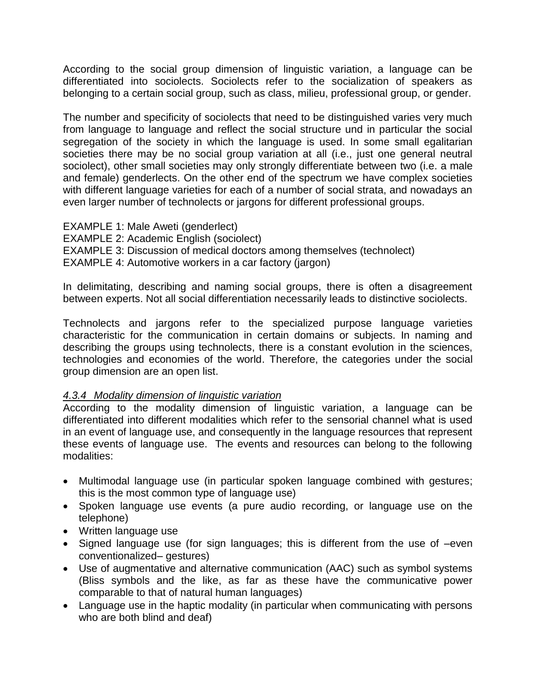According to the social group dimension of linguistic variation, a language can be differentiated into sociolects. Sociolects refer to the socialization of speakers as belonging to a certain social group, such as class, milieu, professional group, or gender.

The number and specificity of sociolects that need to be distinguished varies very much from language to language and reflect the social structure und in particular the social segregation of the society in which the language is used. In some small egalitarian societies there may be no social group variation at all (i.e., just one general neutral sociolect), other small societies may only strongly differentiate between two (i.e. a male and female) genderlects. On the other end of the spectrum we have complex societies with different language varieties for each of a number of social strata, and nowadays an even larger number of technolects or jargons for different professional groups.

EXAMPLE 1: Male Aweti (genderlect) EXAMPLE 2: Academic English (sociolect) EXAMPLE 3: Discussion of medical doctors among themselves (technolect) EXAMPLE 4: Automotive workers in a car factory (jargon)

In delimitating, describing and naming social groups, there is often a disagreement between experts. Not all social differentiation necessarily leads to distinctive sociolects.

Technolects and jargons refer to the specialized purpose language varieties characteristic for the communication in certain domains or subjects. In naming and describing the groups using technolects, there is a constant evolution in the sciences, technologies and economies of the world. Therefore, the categories under the social group dimension are an open list.

# *4.3.4 Modality dimension of linguistic variation*

According to the modality dimension of linguistic variation, a language can be differentiated into different modalities which refer to the sensorial channel what is used in an event of language use, and consequently in the language resources that represent these events of language use. The events and resources can belong to the following modalities:

- Multimodal language use (in particular spoken language combined with gestures; this is the most common type of language use)
- Spoken language use events (a pure audio recording, or language use on the telephone)
- Written language use
- Signed language use (for sign languages; this is different from the use of –even conventionalized– gestures)
- Use of augmentative and alternative communication (AAC) such as symbol systems (Bliss symbols and the like, as far as these have the communicative power comparable to that of natural human languages)
- Language use in the haptic modality (in particular when communicating with persons who are both blind and deaf)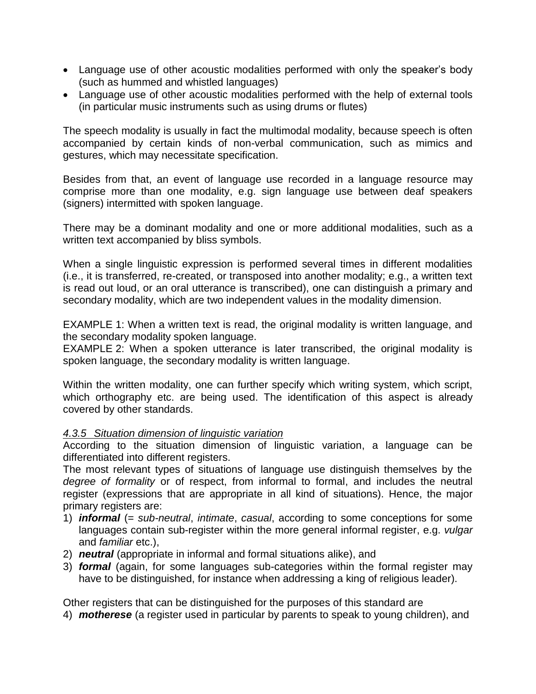- Language use of other acoustic modalities performed with only the speaker's body (such as hummed and whistled languages)
- Language use of other acoustic modalities performed with the help of external tools (in particular music instruments such as using drums or flutes)

The speech modality is usually in fact the multimodal modality, because speech is often accompanied by certain kinds of non-verbal communication, such as mimics and gestures, which may necessitate specification.

Besides from that, an event of language use recorded in a language resource may comprise more than one modality, e.g. sign language use between deaf speakers (signers) intermitted with spoken language.

There may be a dominant modality and one or more additional modalities, such as a written text accompanied by bliss symbols.

When a single linguistic expression is performed several times in different modalities (i.e., it is transferred, re-created, or transposed into another modality; e.g., a written text is read out loud, or an oral utterance is transcribed), one can distinguish a primary and secondary modality, which are two independent values in the modality dimension.

EXAMPLE 1: When a written text is read, the original modality is written language, and the secondary modality spoken language.

EXAMPLE 2: When a spoken utterance is later transcribed, the original modality is spoken language, the secondary modality is written language.

Within the written modality, one can further specify which writing system, which script, which orthography etc. are being used. The identification of this aspect is already covered by other standards.

### *4.3.5 Situation dimension of linguistic variation*

According to the situation dimension of linguistic variation, a language can be differentiated into different registers.

The most relevant types of situations of language use distinguish themselves by the *degree of formality* or of respect, from informal to formal, and includes the neutral register (expressions that are appropriate in all kind of situations). Hence, the major primary registers are:

- 1) *informal* (= *sub-neutral*, *intimate*, *casual*, according to some conceptions for some languages contain sub-register within the more general informal register, e.g. *vulgar* and *familiar* etc.),
- 2) *neutral* (appropriate in informal and formal situations alike), and
- 3) *formal* (again, for some languages sub-categories within the formal register may have to be distinguished, for instance when addressing a king of religious leader).

Other registers that can be distinguished for the purposes of this standard are

4) *motherese* (a register used in particular by parents to speak to young children), and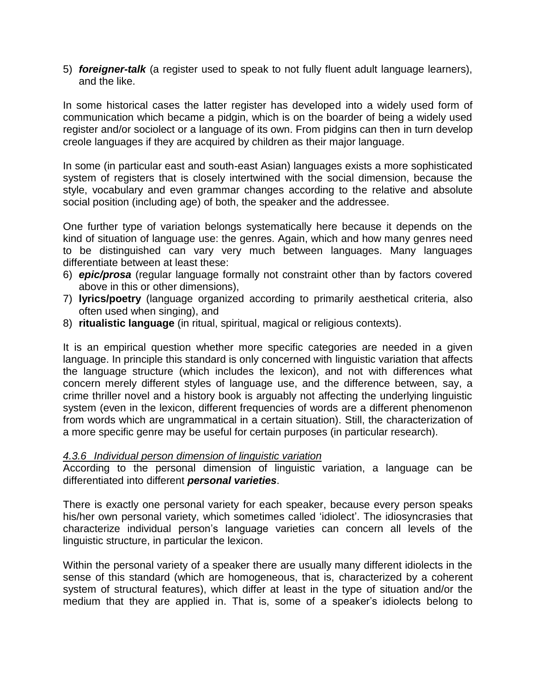5) *foreigner-talk* (a register used to speak to not fully fluent adult language learners), and the like.

In some historical cases the latter register has developed into a widely used form of communication which became a pidgin, which is on the boarder of being a widely used register and/or sociolect or a language of its own. From pidgins can then in turn develop creole languages if they are acquired by children as their major language.

In some (in particular east and south-east Asian) languages exists a more sophisticated system of registers that is closely intertwined with the social dimension, because the style, vocabulary and even grammar changes according to the relative and absolute social position (including age) of both, the speaker and the addressee.

One further type of variation belongs systematically here because it depends on the kind of situation of language use: the genres. Again, which and how many genres need to be distinguished can vary very much between languages. Many languages differentiate between at least these:

- 6) *epic/prosa* (regular language formally not constraint other than by factors covered above in this or other dimensions),
- 7) **lyrics/poetry** (language organized according to primarily aesthetical criteria, also often used when singing), and
- 8) **ritualistic language** (in ritual, spiritual, magical or religious contexts).

It is an empirical question whether more specific categories are needed in a given language. In principle this standard is only concerned with linguistic variation that affects the language structure (which includes the lexicon), and not with differences what concern merely different styles of language use, and the difference between, say, a crime thriller novel and a history book is arguably not affecting the underlying linguistic system (even in the lexicon, different frequencies of words are a different phenomenon from words which are ungrammatical in a certain situation). Still, the characterization of a more specific genre may be useful for certain purposes (in particular research).

### *4.3.6 Individual person dimension of linguistic variation*

According to the personal dimension of linguistic variation, a language can be differentiated into different *personal varieties*.

There is exactly one personal variety for each speaker, because every person speaks his/her own personal variety, which sometimes called 'idiolect'. The idiosyncrasies that characterize individual person's language varieties can concern all levels of the linguistic structure, in particular the lexicon.

Within the personal variety of a speaker there are usually many different idiolects in the sense of this standard (which are homogeneous, that is, characterized by a coherent system of structural features), which differ at least in the type of situation and/or the medium that they are applied in. That is, some of a speaker's idiolects belong to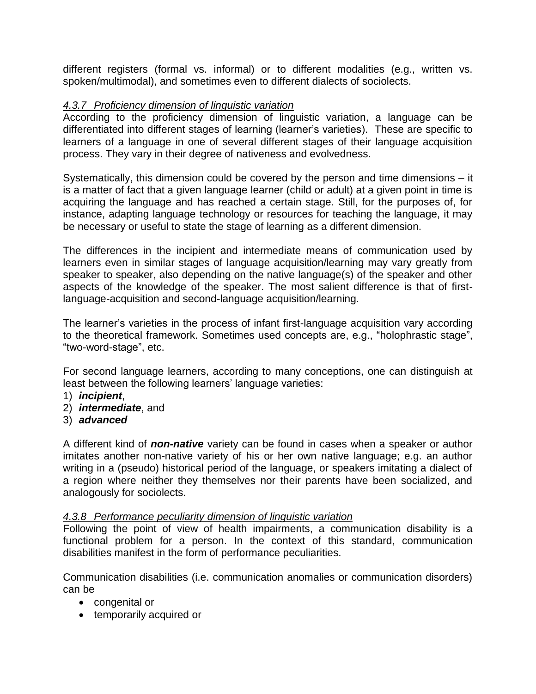different registers (formal vs. informal) or to different modalities (e.g., written vs. spoken/multimodal), and sometimes even to different dialects of sociolects.

### *4.3.7 Proficiency dimension of linguistic variation*

According to the proficiency dimension of linguistic variation, a language can be differentiated into different stages of learning (learner's varieties). These are specific to learners of a language in one of several different stages of their language acquisition process. They vary in their degree of nativeness and evolvedness.

Systematically, this dimension could be covered by the person and time dimensions – it is a matter of fact that a given language learner (child or adult) at a given point in time is acquiring the language and has reached a certain stage. Still, for the purposes of, for instance, adapting language technology or resources for teaching the language, it may be necessary or useful to state the stage of learning as a different dimension.

The differences in the incipient and intermediate means of communication used by learners even in similar stages of language acquisition/learning may vary greatly from speaker to speaker, also depending on the native language(s) of the speaker and other aspects of the knowledge of the speaker. The most salient difference is that of firstlanguage-acquisition and second-language acquisition/learning.

The learner's varieties in the process of infant first-language acquisition vary according to the theoretical framework. Sometimes used concepts are, e.g., "holophrastic stage", "two-word-stage", etc.

For second language learners, according to many conceptions, one can distinguish at least between the following learners' language varieties:

- 1) *incipient*,
- 2) *intermediate*, and
- 3) *advanced*

A different kind of *non-native* variety can be found in cases when a speaker or author imitates another non-native variety of his or her own native language; e.g. an author writing in a (pseudo) historical period of the language, or speakers imitating a dialect of a region where neither they themselves nor their parents have been socialized, and analogously for sociolects.

### *4.3.8 Performance peculiarity dimension of linguistic variation*

Following the point of view of health impairments, a communication disability is a functional problem for a person. In the context of this standard, communication disabilities manifest in the form of performance peculiarities.

Communication disabilities (i.e. communication anomalies or communication disorders) can be

- congenital or
- temporarily acquired or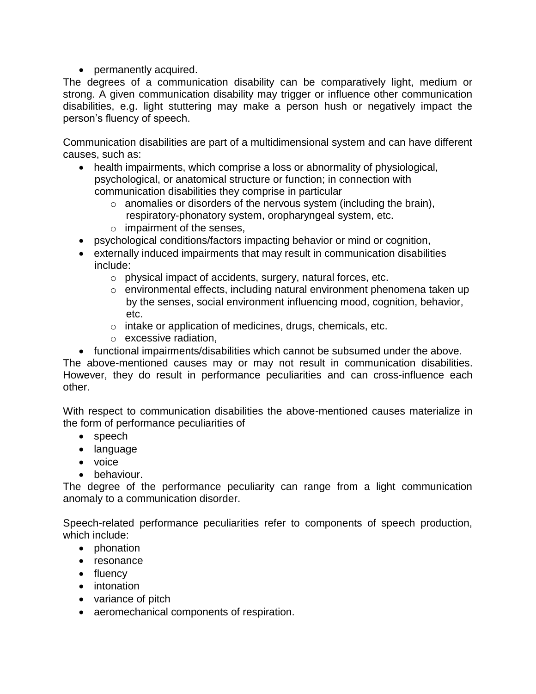• permanently acquired.

The degrees of a communication disability can be comparatively light, medium or strong. A given communication disability may trigger or influence other communication disabilities, e.g. light stuttering may make a person hush or negatively impact the person's fluency of speech.

Communication disabilities are part of a multidimensional system and can have different causes, such as:

- health impairments, which comprise a loss or abnormality of physiological, psychological, or anatomical structure or function; in connection with communication disabilities they comprise in particular
	- $\circ$  anomalies or disorders of the nervous system (including the brain), respiratory-phonatory system, oropharyngeal system, etc.
	- $\circ$  impairment of the senses,
- psychological conditions/factors impacting behavior or mind or cognition,
- externally induced impairments that may result in communication disabilities include:
	- o physical impact of accidents, surgery, natural forces, etc.
	- o environmental effects, including natural environment phenomena taken up by the senses, social environment influencing mood, cognition, behavior, etc.
	- o intake or application of medicines, drugs, chemicals, etc.
	- o excessive radiation,
- functional impairments/disabilities which cannot be subsumed under the above.

The above-mentioned causes may or may not result in communication disabilities. However, they do result in performance peculiarities and can cross-influence each other.

With respect to communication disabilities the above-mentioned causes materialize in the form of performance peculiarities of

- speech
- language
- voice
- behaviour.

The degree of the performance peculiarity can range from a light communication anomaly to a communication disorder.

Speech-related performance peculiarities refer to components of speech production, which include:

- phonation
- resonance
- fluency
- intonation
- variance of pitch
- aeromechanical components of respiration.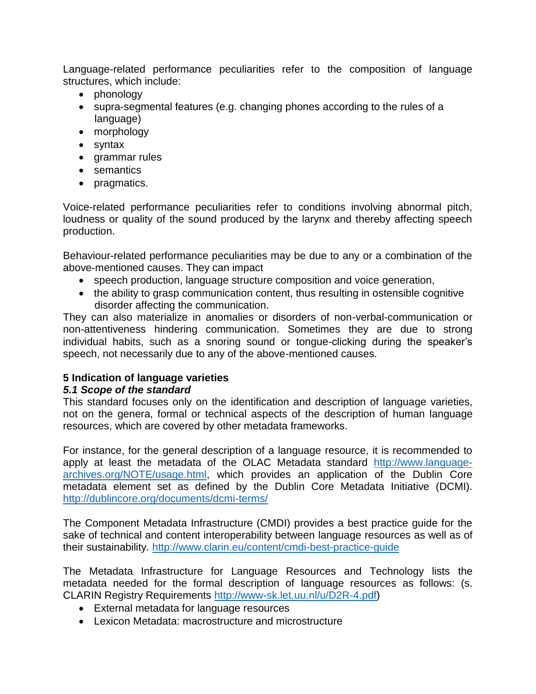Language-related performance peculiarities refer to the composition of language structures, which include:

- phonology
- supra-segmental features (e.g. changing phones according to the rules of a language)
- morphology
- syntax
- grammar rules
- semantics
- pragmatics.

Voice-related performance peculiarities refer to conditions involving abnormal pitch, loudness or quality of the sound produced by the larynx and thereby affecting speech production.

Behaviour-related performance peculiarities may be due to any or a combination of the above-mentioned causes. They can impact

- speech production, language structure composition and voice generation,
- the ability to grasp communication content, thus resulting in ostensible cognitive disorder affecting the communication.

They can also materialize in anomalies or disorders of non-verbal-communication or non-attentiveness hindering communication. Sometimes they are due to strong individual habits, such as a snoring sound or tongue-clicking during the speaker's speech, not necessarily due to any of the above-mentioned causes.

# **5 Indication of language varieties**

# *5.1 Scope of the standard*

This standard focuses only on the identification and description of language varieties, not on the genera, formal or technical aspects of the description of human language resources, which are covered by other metadata frameworks.

For instance, for the general description of a language resource, it is recommended to apply at least the metadata of the OLAC Metadata standard [http://www.language](http://www.language-archives.org/NOTE/usage.html)[archives.org/NOTE/usage.html,](http://www.language-archives.org/NOTE/usage.html) which provides an application of the Dublin Core metadata element set as defined by the Dublin Core Metadata Initiative (DCMI). <http://dublincore.org/documents/dcmi-terms/>

The Component Metadata Infrastructure (CMDI) provides a best practice guide for the sake of technical and content interoperability between language resources as well as of their sustainability.<http://www.clarin.eu/content/cmdi-best-practice-guide>

The Metadata Infrastructure for Language Resources and Technology lists the metadata needed for the formal description of language resources as follows: (s. CLARIN Registry Requirements [http://www-sk.let.uu.nl/u/D2R-4.pdf\)](http://www-sk.let.uu.nl/u/D2R-4.pdf)

- External metadata for language resources
- Lexicon Metadata: macrostructure and microstructure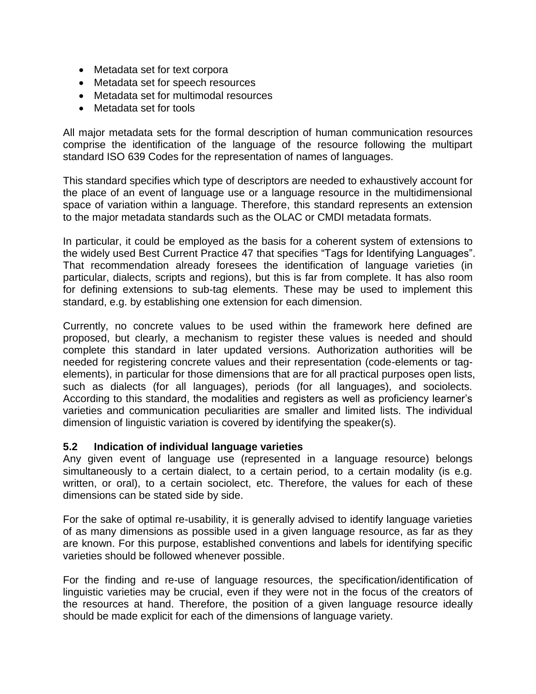- Metadata set for text corpora
- Metadata set for speech resources
- Metadata set for multimodal resources
- Metadata set for tools

All major metadata sets for the formal description of human communication resources comprise the identification of the language of the resource following the multipart standard ISO 639 Codes for the representation of names of languages.

This standard specifies which type of descriptors are needed to exhaustively account for the place of an event of language use or a language resource in the multidimensional space of variation within a language. Therefore, this standard represents an extension to the major metadata standards such as the OLAC or CMDI metadata formats.

In particular, it could be employed as the basis for a coherent system of extensions to the widely used Best Current Practice 47 that specifies "Tags for Identifying Languages". That recommendation already foresees the identification of language varieties (in particular, dialects, scripts and regions), but this is far from complete. It has also room for defining extensions to sub-tag elements. These may be used to implement this standard, e.g. by establishing one extension for each dimension.

Currently, no concrete values to be used within the framework here defined are proposed, but clearly, a mechanism to register these values is needed and should complete this standard in later updated versions. Authorization authorities will be needed for registering concrete values and their representation (code-elements or tagelements), in particular for those dimensions that are for all practical purposes open lists, such as dialects (for all languages), periods (for all languages), and sociolects. According to this standard, the modalities and registers as well as proficiency learner's varieties and communication peculiarities are smaller and limited lists. The individual dimension of linguistic variation is covered by identifying the speaker(s).

### **5.2 Indication of individual language varieties**

Any given event of language use (represented in a language resource) belongs simultaneously to a certain dialect, to a certain period, to a certain modality (is e.g. written, or oral), to a certain sociolect, etc. Therefore, the values for each of these dimensions can be stated side by side.

For the sake of optimal re-usability, it is generally advised to identify language varieties of as many dimensions as possible used in a given language resource, as far as they are known. For this purpose, established conventions and labels for identifying specific varieties should be followed whenever possible.

For the finding and re-use of language resources, the specification/identification of linguistic varieties may be crucial, even if they were not in the focus of the creators of the resources at hand. Therefore, the position of a given language resource ideally should be made explicit for each of the dimensions of language variety.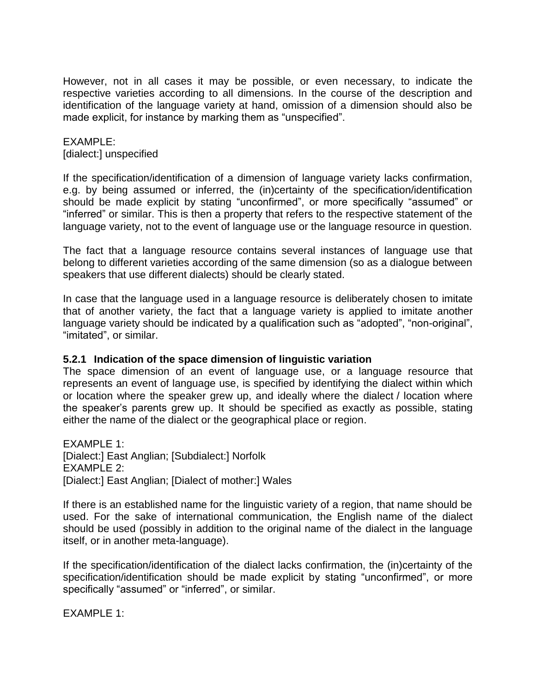However, not in all cases it may be possible, or even necessary, to indicate the respective varieties according to all dimensions. In the course of the description and identification of the language variety at hand, omission of a dimension should also be made explicit, for instance by marking them as "unspecified".

### EXAMPLE: [dialect:] unspecified

If the specification/identification of a dimension of language variety lacks confirmation, e.g. by being assumed or inferred, the (in)certainty of the specification/identification should be made explicit by stating "unconfirmed", or more specifically "assumed" or "inferred" or similar. This is then a property that refers to the respective statement of the language variety, not to the event of language use or the language resource in question.

The fact that a language resource contains several instances of language use that belong to different varieties according of the same dimension (so as a dialogue between speakers that use different dialects) should be clearly stated.

In case that the language used in a language resource is deliberately chosen to imitate that of another variety, the fact that a language variety is applied to imitate another language variety should be indicated by a qualification such as "adopted", "non-original", "imitated", or similar.

### **5.2.1 Indication of the space dimension of linguistic variation**

The space dimension of an event of language use, or a language resource that represents an event of language use, is specified by identifying the dialect within which or location where the speaker grew up, and ideally where the dialect / location where the speaker's parents grew up. It should be specified as exactly as possible, stating either the name of the dialect or the geographical place or region.

EXAMPLE 1: [Dialect:] East Anglian; [Subdialect:] Norfolk EXAMPLE 2: [Dialect:] East Anglian; [Dialect of mother:] Wales

If there is an established name for the linguistic variety of a region, that name should be used. For the sake of international communication, the English name of the dialect should be used (possibly in addition to the original name of the dialect in the language itself, or in another meta-language).

If the specification/identification of the dialect lacks confirmation, the (in)certainty of the specification/identification should be made explicit by stating "unconfirmed", or more specifically "assumed" or "inferred", or similar.

EXAMPLE 1: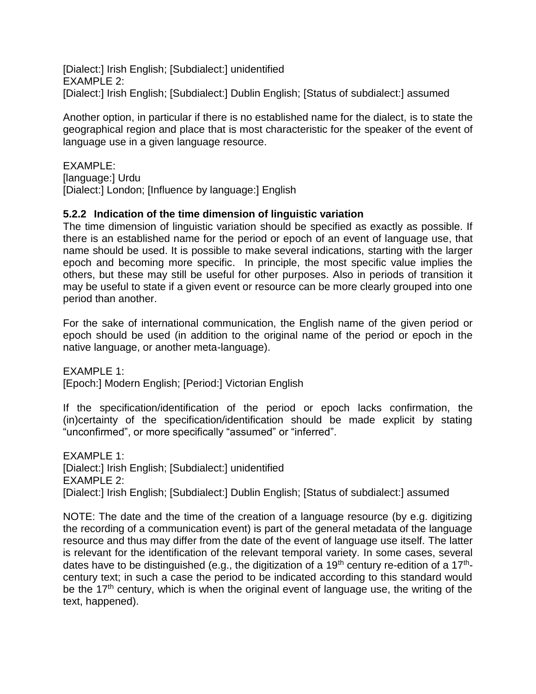[Dialect:] Irish English; [Subdialect:] unidentified EXAMPLE 2: [Dialect:] Irish English; [Subdialect:] Dublin English; [Status of subdialect:] assumed

Another option, in particular if there is no established name for the dialect, is to state the geographical region and place that is most characteristic for the speaker of the event of language use in a given language resource.

EXAMPLE:

[language:] Urdu

[Dialect:] London; [Influence by language:] English

# **5.2.2 Indication of the time dimension of linguistic variation**

The time dimension of linguistic variation should be specified as exactly as possible. If there is an established name for the period or epoch of an event of language use, that name should be used. It is possible to make several indications, starting with the larger epoch and becoming more specific. In principle, the most specific value implies the others, but these may still be useful for other purposes. Also in periods of transition it may be useful to state if a given event or resource can be more clearly grouped into one period than another.

For the sake of international communication, the English name of the given period or epoch should be used (in addition to the original name of the period or epoch in the native language, or another meta-language).

EXAMPLE 1: [Epoch:] Modern English; [Period:] Victorian English

If the specification/identification of the period or epoch lacks confirmation, the (in)certainty of the specification/identification should be made explicit by stating "unconfirmed", or more specifically "assumed" or "inferred".

EXAMPLE 1: [Dialect:] Irish English; [Subdialect:] unidentified EXAMPLE 2: [Dialect:] Irish English; [Subdialect:] Dublin English; [Status of subdialect:] assumed

NOTE: The date and the time of the creation of a language resource (by e.g. digitizing the recording of a communication event) is part of the general metadata of the language resource and thus may differ from the date of the event of language use itself. The latter is relevant for the identification of the relevant temporal variety. In some cases, several dates have to be distinguished (e.g., the digitization of a 19<sup>th</sup> century re-edition of a 17<sup>th</sup>century text; in such a case the period to be indicated according to this standard would be the 17<sup>th</sup> century, which is when the original event of language use, the writing of the text, happened).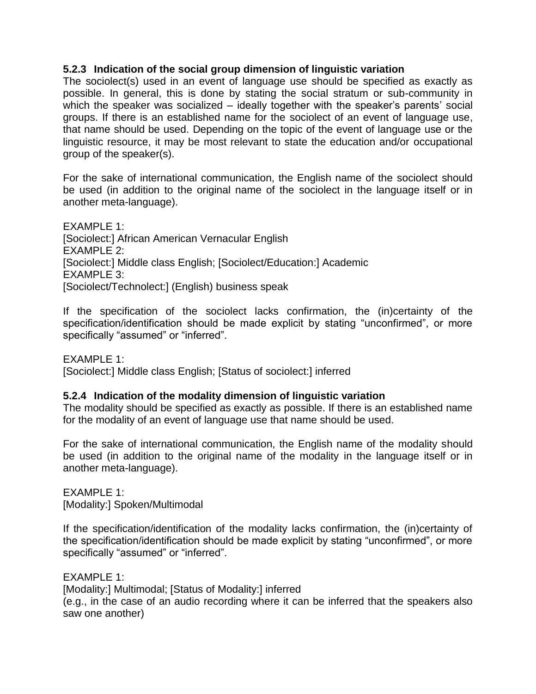### **5.2.3 Indication of the social group dimension of linguistic variation**

The sociolect(s) used in an event of language use should be specified as exactly as possible. In general, this is done by stating the social stratum or sub-community in which the speaker was socialized – ideally together with the speaker's parents' social groups. If there is an established name for the sociolect of an event of language use, that name should be used. Depending on the topic of the event of language use or the linguistic resource, it may be most relevant to state the education and/or occupational group of the speaker(s).

For the sake of international communication, the English name of the sociolect should be used (in addition to the original name of the sociolect in the language itself or in another meta-language).

EXAMPLE 1: [Sociolect:] African American Vernacular English EXAMPLE 2: [Sociolect:] Middle class English; [Sociolect/Education:] Academic EXAMPLE 3: [Sociolect/Technolect:] (English) business speak

If the specification of the sociolect lacks confirmation, the (in)certainty of the specification/identification should be made explicit by stating "unconfirmed", or more specifically "assumed" or "inferred".

 $FXAMPI F 1:$ [Sociolect:] Middle class English; [Status of sociolect:] inferred

### **5.2.4 Indication of the modality dimension of linguistic variation**

The modality should be specified as exactly as possible. If there is an established name for the modality of an event of language use that name should be used.

For the sake of international communication, the English name of the modality should be used (in addition to the original name of the modality in the language itself or in another meta-language).

EXAMPLE 1: [Modality:] Spoken/Multimodal

If the specification/identification of the modality lacks confirmation, the (in)certainty of the specification/identification should be made explicit by stating "unconfirmed", or more specifically "assumed" or "inferred".

EXAMPLE 1:

[Modality:] Multimodal; [Status of Modality:] inferred

(e.g., in the case of an audio recording where it can be inferred that the speakers also saw one another)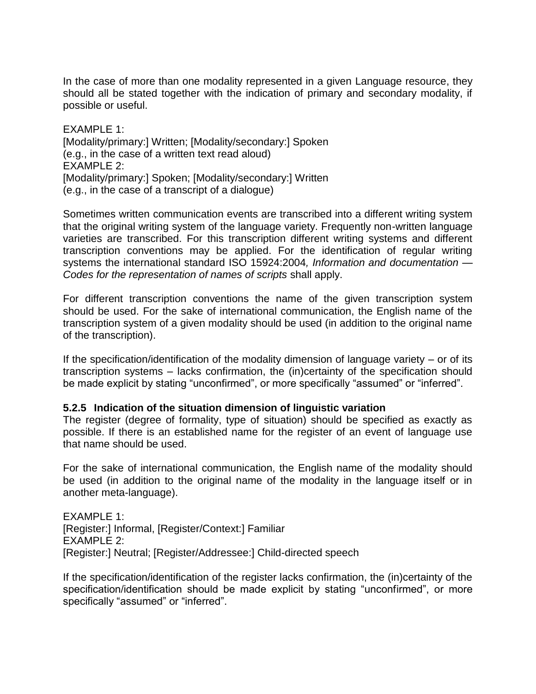In the case of more than one modality represented in a given Language resource, they should all be stated together with the indication of primary and secondary modality, if possible or useful.

EXAMPLE 1: [Modality/primary:] Written; [Modality/secondary:] Spoken (e.g., in the case of a written text read aloud) EXAMPLE 2: [Modality/primary:] Spoken; [Modality/secondary:] Written (e.g., in the case of a transcript of a dialogue)

Sometimes written communication events are transcribed into a different writing system that the original writing system of the language variety. Frequently non-written language varieties are transcribed. For this transcription different writing systems and different transcription conventions may be applied. For the identification of regular writing systems the international standard ISO 15924:2004*, Information and documentation — Codes for the representation of names of scripts* shall apply.

For different transcription conventions the name of the given transcription system should be used. For the sake of international communication, the English name of the transcription system of a given modality should be used (in addition to the original name of the transcription).

If the specification/identification of the modality dimension of language variety  $-$  or of its transcription systems – lacks confirmation, the (in)certainty of the specification should be made explicit by stating "unconfirmed", or more specifically "assumed" or "inferred".

### **5.2.5 Indication of the situation dimension of linguistic variation**

The register (degree of formality, type of situation) should be specified as exactly as possible. If there is an established name for the register of an event of language use that name should be used.

For the sake of international communication, the English name of the modality should be used (in addition to the original name of the modality in the language itself or in another meta-language).

EXAMPLE 1: [Register:] Informal, [Register/Context:] Familiar EXAMPLE 2: [Register:] Neutral; [Register/Addressee:] Child-directed speech

If the specification/identification of the register lacks confirmation, the (in)certainty of the specification/identification should be made explicit by stating "unconfirmed", or more specifically "assumed" or "inferred".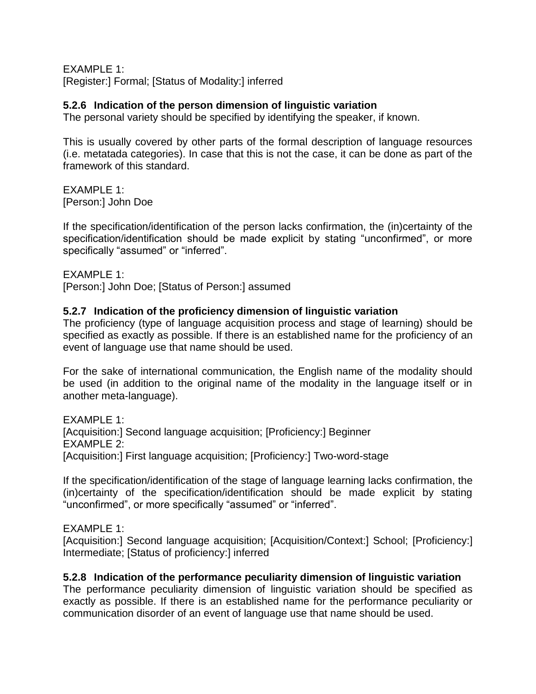EXAMPLE 1: [Register:] Formal; [Status of Modality:] inferred

### **5.2.6 Indication of the person dimension of linguistic variation**

The personal variety should be specified by identifying the speaker, if known.

This is usually covered by other parts of the formal description of language resources (i.e. metatada categories). In case that this is not the case, it can be done as part of the framework of this standard.

EXAMPLE 1: [Person:] John Doe

If the specification/identification of the person lacks confirmation, the (in)certainty of the specification/identification should be made explicit by stating "unconfirmed", or more specifically "assumed" or "inferred".

EXAMPLE 1:

[Person:] John Doe; [Status of Person:] assumed

### **5.2.7 Indication of the proficiency dimension of linguistic variation**

The proficiency (type of language acquisition process and stage of learning) should be specified as exactly as possible. If there is an established name for the proficiency of an event of language use that name should be used.

For the sake of international communication, the English name of the modality should be used (in addition to the original name of the modality in the language itself or in another meta-language).

EXAMPLE 1: [Acquisition:] Second language acquisition; [Proficiency:] Beginner EXAMPLE 2: [Acquisition:] First language acquisition; [Proficiency:] Two-word-stage

If the specification/identification of the stage of language learning lacks confirmation, the (in)certainty of the specification/identification should be made explicit by stating "unconfirmed", or more specifically "assumed" or "inferred".

### EXAMPLE 1:

[Acquisition:] Second language acquisition; [Acquisition/Context:] School; [Proficiency:] Intermediate; [Status of proficiency:] inferred

### **5.2.8 Indication of the performance peculiarity dimension of linguistic variation**

The performance peculiarity dimension of linguistic variation should be specified as exactly as possible. If there is an established name for the performance peculiarity or communication disorder of an event of language use that name should be used.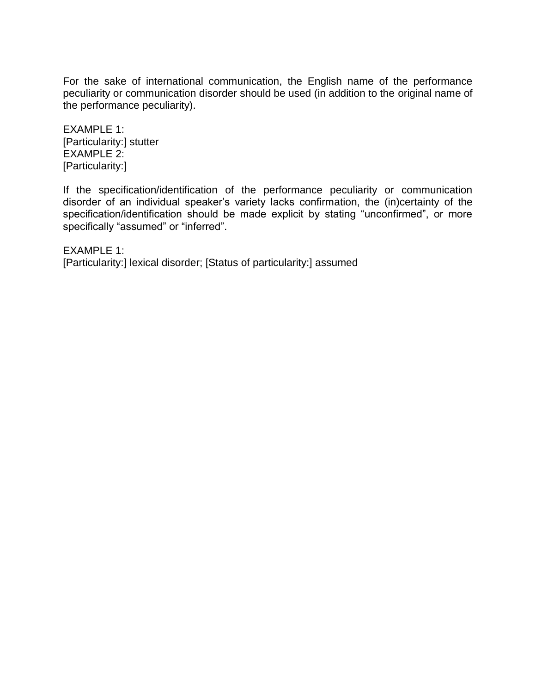For the sake of international communication, the English name of the performance peculiarity or communication disorder should be used (in addition to the original name of the performance peculiarity).

EXAMPLE 1: [Particularity:] stutter EXAMPLE 2: [Particularity:]

If the specification/identification of the performance peculiarity or communication disorder of an individual speaker's variety lacks confirmation, the (in)certainty of the specification/identification should be made explicit by stating "unconfirmed", or more specifically "assumed" or "inferred".

EXAMPLE 1: [Particularity:] lexical disorder; [Status of particularity:] assumed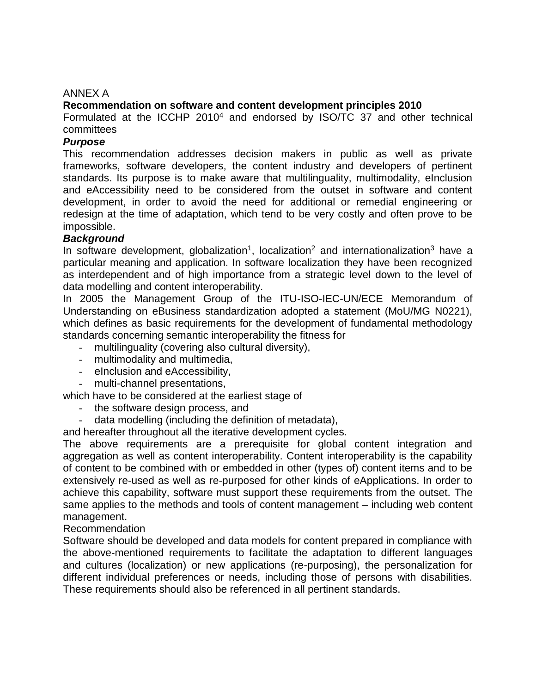### ANNEX A

### **Recommendation on software and content development principles 2010**

Formulated at the ICCHP 2010<sup>4</sup> and endorsed by ISO/TC 37 and other technical committees

### *Purpose*

This recommendation addresses decision makers in public as well as private frameworks, software developers, the content industry and developers of pertinent standards. Its purpose is to make aware that multilinguality, multimodality, eInclusion and eAccessibility need to be considered from the outset in software and content development, in order to avoid the need for additional or remedial engineering or redesign at the time of adaptation, which tend to be very costly and often prove to be impossible.

### *Background*

In software development, globalization<sup>1</sup>, localization<sup>2</sup> and internationalization<sup>3</sup> have a particular meaning and application. In software localization they have been recognized as interdependent and of high importance from a strategic level down to the level of data modelling and content interoperability.

In 2005 the Management Group of the ITU-ISO-IEC-UN/ECE Memorandum of Understanding on eBusiness standardization adopted a statement (MoU/MG N0221), which defines as basic requirements for the development of fundamental methodology standards concerning semantic interoperability the fitness for

- multilinguality (covering also cultural diversity),
- multimodality and multimedia,
- eInclusion and eAccessibility,
- multi-channel presentations,

which have to be considered at the earliest stage of

- the software design process, and
- data modelling (including the definition of metadata),

and hereafter throughout all the iterative development cycles.

The above requirements are a prerequisite for global content integration and aggregation as well as content interoperability. Content interoperability is the capability of content to be combined with or embedded in other (types of) content items and to be extensively re-used as well as re-purposed for other kinds of eApplications. In order to achieve this capability, software must support these requirements from the outset. The same applies to the methods and tools of content management – including web content management.

### Recommendation

Software should be developed and data models for content prepared in compliance with the above-mentioned requirements to facilitate the adaptation to different languages and cultures (localization) or new applications (re-purposing), the personalization for different individual preferences or needs, including those of persons with disabilities. These requirements should also be referenced in all pertinent standards.